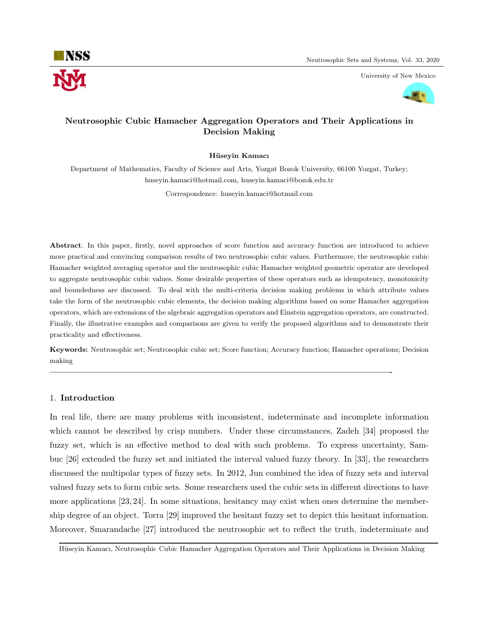

University of New Mexico



## Neutrosophic Cubic Hamacher Aggregation Operators and Their Applications in Decision Making

### Hüseyin Kamacı

Department of Mathematics, Faculty of Science and Arts, Yozgat Bozok University, 66100 Yozgat, Turkey; huseyin.kamaci@hotmail.com, huseyin.kamaci@bozok.edu.tr

Correspondence: huseyin.kamaci@hotmail.com

Abstract. In this paper, firstly, novel approaches of score function and accuracy function are introduced to achieve more practical and convincing comparison results of two neutrosophic cubic values. Furthermore, the neutrosophic cubic Hamacher weighted averaging operator and the neutrosophic cubic Hamacher weighted geometric operator are developed to aggregate neutrosophic cubic values. Some desirable properties of these operators such as idempotency, monotonicity and boundedness are discussed. To deal with the multi-criteria decision making problems in which attribute values take the form of the neutrosophic cubic elements, the decision making algorithms based on some Hamacher aggregation operators, which are extensions of the algebraic aggregation operators and Einstein aggregation operators, are constructed. Finally, the illustrative examples and comparisons are given to verify the proposed algorithms and to demonstrate their practicality and effectiveness.

Keywords: Neutrosophic set; Neutrosophic cubic set; Score function; Accuracy function; Hamacher operations; Decision making

—————————————————————————————————————————-

### 1. Introduction

In real life, there are many problems with inconsistent, indeterminate and incomplete information which cannot be described by crisp numbers. Under these circumstances, Zadeh [34] proposed the fuzzy set, which is an effective method to deal with such problems. To express uncertainty, Sambuc [26] extended the fuzzy set and initiated the interval valued fuzzy theory. In [33], the researchers discussed the multipolar types of fuzzy sets. In 2012, Jun combined the idea of fuzzy sets and interval valued fuzzy sets to form cubic sets. Some researchers used the cubic sets in different directions to have more applications [23, 24]. In some situations, hesitancy may exist when ones determine the membership degree of an object. Torra [29] improved the hesitant fuzzy set to depict this hesitant information. Moreover, Smarandache [27] introduced the neutrosophic set to reflect the truth, indeterminate and

Hüseyin Kamacı, Neutrosophic Cubic Hamacher Aggregation Operators and Their Applications in Decision Making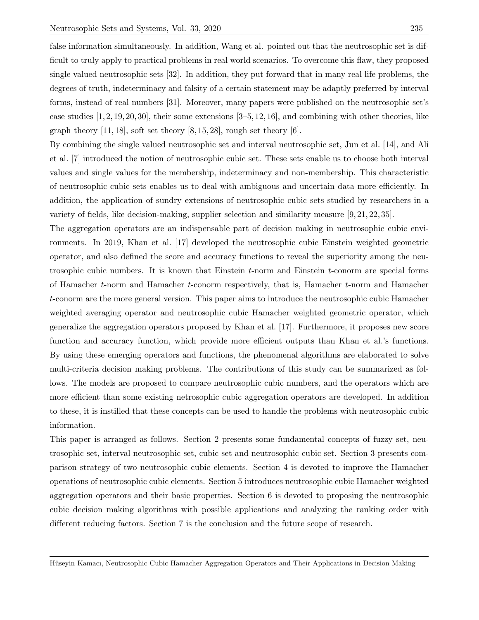false information simultaneously. In addition, Wang et al. pointed out that the neutrosophic set is difficult to truly apply to practical problems in real world scenarios. To overcome this flaw, they proposed single valued neutrosophic sets [32]. In addition, they put forward that in many real life problems, the degrees of truth, indeterminacy and falsity of a certain statement may be adaptly preferred by interval forms, instead of real numbers [31]. Moreover, many papers were published on the neutrosophic set's case studies  $[1, 2, 19, 20, 30]$ , their some extensions  $[3-5, 12, 16]$ , and combining with other theories, like graph theory  $[11, 18]$ , soft set theory  $[8, 15, 28]$ , rough set theory  $[6]$ .

By combining the single valued neutrosophic set and interval neutrosophic set, Jun et al. [14], and Ali et al. [7] introduced the notion of neutrosophic cubic set. These sets enable us to choose both interval values and single values for the membership, indeterminacy and non-membership. This characteristic of neutrosophic cubic sets enables us to deal with ambiguous and uncertain data more efficiently. In addition, the application of sundry extensions of neutrosophic cubic sets studied by researchers in a variety of fields, like decision-making, supplier selection and similarity measure [9, 21, 22, 35].

The aggregation operators are an indispensable part of decision making in neutrosophic cubic environments. In 2019, Khan et al. [17] developed the neutrosophic cubic Einstein weighted geometric operator, and also defined the score and accuracy functions to reveal the superiority among the neutrosophic cubic numbers. It is known that Einstein  $t$ -norm and Einstein  $t$ -conorm are special forms of Hamacher t-norm and Hamacher t-conorm respectively, that is, Hamacher t-norm and Hamacher t-conorm are the more general version. This paper aims to introduce the neutrosophic cubic Hamacher weighted averaging operator and neutrosophic cubic Hamacher weighted geometric operator, which generalize the aggregation operators proposed by Khan et al. [17]. Furthermore, it proposes new score function and accuracy function, which provide more efficient outputs than Khan et al.'s functions. By using these emerging operators and functions, the phenomenal algorithms are elaborated to solve multi-criteria decision making problems. The contributions of this study can be summarized as follows. The models are proposed to compare neutrosophic cubic numbers, and the operators which are more efficient than some existing netrosophic cubic aggregation operators are developed. In addition to these, it is instilled that these concepts can be used to handle the problems with neutrosophic cubic information.

This paper is arranged as follows. Section 2 presents some fundamental concepts of fuzzy set, neutrosophic set, interval neutrosophic set, cubic set and neutrosophic cubic set. Section 3 presents comparison strategy of two neutrosophic cubic elements. Section 4 is devoted to improve the Hamacher operations of neutrosophic cubic elements. Section 5 introduces neutrosophic cubic Hamacher weighted aggregation operators and their basic properties. Section 6 is devoted to proposing the neutrosophic cubic decision making algorithms with possible applications and analyzing the ranking order with different reducing factors. Section 7 is the conclusion and the future scope of research.

Hüseyin Kamacı, Neutrosophic Cubic Hamacher Aggregation Operators and Their Applications in Decision Making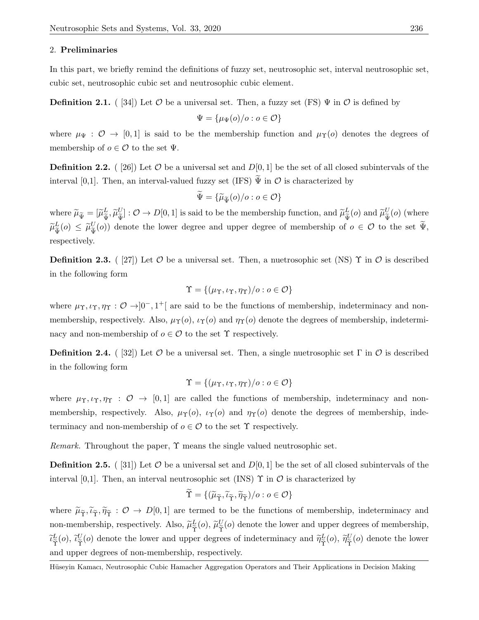#### 2. Preliminaries

In this part, we briefly remind the definitions of fuzzy set, neutrosophic set, interval neutrosophic set, cubic set, neutrosophic cubic set and neutrosophic cubic element.

**Definition 2.1.** ( [34]) Let  $\mathcal O$  be a universal set. Then, a fuzzy set (FS)  $\Psi$  in  $\mathcal O$  is defined by

$$
\Psi = \{\mu_{\Psi}(o)/o : o \in \mathcal{O}\}
$$

where  $\mu_{\Psi}: \mathcal{O} \to [0, 1]$  is said to be the membership function and  $\mu_{\Upsilon}(o)$  denotes the degrees of membership of  $o \in \mathcal{O}$  to the set  $\Psi$ .

**Definition 2.2.** ( [26]) Let  $O$  be a universal set and  $D[0, 1]$  be the set of all closed subintervals of the interval [0,1]. Then, an interval-valued fuzzy set (IFS)  $\tilde{\Psi}$  in  $\mathcal{O}$  is characterized by

$$
\widetilde{\Psi} = \{ \widetilde{\mu}_{\widetilde{\Psi}}(o)/o : o \in \mathcal{O} \}
$$

where  $\widetilde{\mu}_{\widetilde{\Psi}} = [\widetilde{\mu}_{\widetilde{\Psi}}^L]$  $\frac{L}{\widetilde{\Psi}}, \widetilde{\mu}^U_{\widetilde{\Psi}}$  $\mathcal{U}_{\widetilde{\Psi}}^U$  :  $\mathcal{O} \to D[0,1]$  is said to be the membership function, and  $\widetilde{\mu}_{\widetilde{\Psi}}^L$  $\frac{L}{\tilde{\Psi}}(o)$  and  $\widetilde{\mu}_{\tilde{\Psi}}^U$  $\frac{U}{\tilde{\Psi}}(o)$  (where  $\widetilde{\mu}^L_{\widetilde{\Psi}}$  $\frac{L}{\tilde{\Psi}}(o) \leq \widetilde{\mu}_{\widetilde{\Psi}}^U$  $U_{\tilde{\Psi}}(o)$  denote the lower degree and upper degree of membership of  $o \in \mathcal{O}$  to the set  $\Psi$ , respectively.

**Definition 2.3.** ( [27]) Let  $\mathcal{O}$  be a universal set. Then, a nuetrosophic set (NS)  $\Upsilon$  in  $\mathcal{O}$  is described in the following form

$$
\Upsilon = \{(\mu\Upsilon, \iota\Upsilon, \eta\Upsilon)/o : o \in \mathcal{O}\}
$$

where  $\mu_{\Upsilon}, \iota_{\Upsilon}, \eta_{\Upsilon}: \mathcal{O} \to ]0^-, 1^+]$  are said to be the functions of membership, indeterminacy and nonmembership, respectively. Also,  $\mu_{\Upsilon}(o)$ ,  $\iota_{\Upsilon}(o)$  and  $\eta_{\Upsilon}(o)$  denote the degrees of membership, indeterminacy and non-membership of  $o \in \mathcal{O}$  to the set  $\Upsilon$  respectively.

**Definition 2.4.** ( [32]) Let  $\mathcal{O}$  be a universal set. Then, a single nuetrosophic set  $\Gamma$  in  $\mathcal{O}$  is described in the following form

$$
\Upsilon = \{(\mu_{\Upsilon}, \iota_{\Upsilon}, \eta_{\Upsilon})/o : o \in \mathcal{O}\}
$$

where  $\mu_{\Upsilon}, \iota_{\Upsilon}, \eta_{\Upsilon} : \mathcal{O} \to [0, 1]$  are called the functions of membership, indeterminacy and nonmembership, respectively. Also,  $\mu_Y(o)$ ,  $\iota_Y(o)$  and  $\eta_Y(o)$  denote the degrees of membership, indeterminacy and non-membership of  $o \in \mathcal{O}$  to the set  $\Upsilon$  respectively.

Remark. Throughout the paper, Υ means the single valued neutrosophic set.

**Definition 2.5.** ( [31]) Let  $O$  be a universal set and  $D[0, 1]$  be the set of all closed subintervals of the interval [0,1]. Then, an interval neutrosophic set (INS)  $\Upsilon$  in  $\mathcal{O}$  is characterized by

$$
\widetilde{\Upsilon} = \{(\widetilde{\mu}_{\widetilde{\Upsilon}}, \widetilde{\iota}_{\widetilde{\Upsilon}}, \widetilde{\eta}_{\widetilde{\Upsilon}})/o : o \in \mathcal{O}\}
$$

where  $\tilde{\mu}_{\tilde{\gamma}}, \tilde{\nu}_{\tilde{\gamma}}, \tilde{\eta}_{\tilde{\gamma}} : \mathcal{O} \to D[0,1]$  are termed to be the functions of membership, indeterminacy and non-membership, respectively. Also,  $\widetilde{\mu}_{\widetilde{\Upsilon}}^L$  $\frac{L}{\widetilde{\Upsilon}}(o),\,\widetilde{\mu}^{U}_{\widetilde{\Upsilon}}$  $\frac{U}{\tilde{\gamma}}(o)$  denote the lower and upper degrees of membership,  $\widetilde{\iota}_{\widetilde{\Upsilon}}^{L}$  $\frac{\mathcal{I}}{\widetilde{\Upsilon}}(o),\ \widetilde{\iota}_{\widetilde{\Upsilon}}^{U}$  $\tilde{\gamma}^{U}(o)$  denote the lower and upper degrees of indeterminacy and  $\tilde{\eta}^{L}_{\tilde{\Upsilon}}$  $\tilde{\tilde{\gamma}}^{L}(0), \ \tilde{\eta}^{U}_{\widetilde{\Upsilon}}$  $\frac{\partial}{\partial \tilde{\mathbf{r}}}$  (*o*) denote the lower and upper degrees of non-membership, respectively.

Hüseyin Kamacı, Neutrosophic Cubic Hamacher Aggregation Operators and Their Applications in Decision Making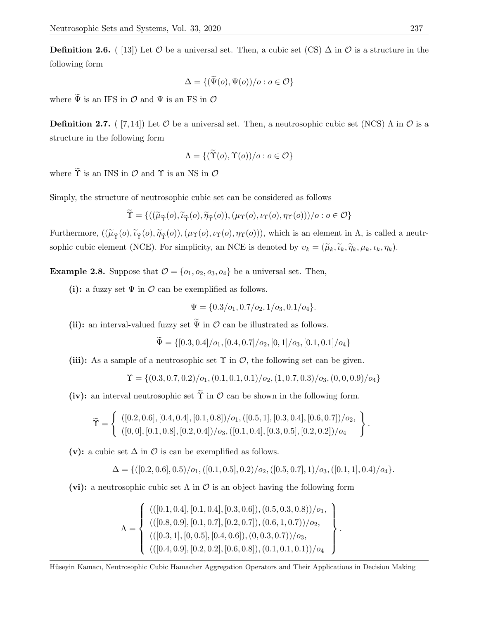**Definition 2.6.** ( [13]) Let  $\mathcal O$  be a universal set. Then, a cubic set (CS)  $\Delta$  in  $\mathcal O$  is a structure in the following form

$$
\Delta = \{ (\widetilde{\Psi}(o), \Psi(o))/o : o \in \mathcal{O} \}
$$

where  $\widetilde{\Psi}$  is an IFS in  $\mathcal{O}$  and  $\Psi$  is an FS in  $\mathcal{O}$ 

**Definition 2.7.** ( [7, 14]) Let  $\mathcal O$  be a universal set. Then, a neutrosophic cubic set (NCS)  $\Lambda$  in  $\mathcal O$  is a structure in the following form

$$
\Lambda = \{ (\widetilde{\Upsilon}(o), \Upsilon(o))/o : o \in \mathcal{O} \}
$$

where  $\widetilde{\Upsilon}$  is an INS in  $\mathcal{O}$  and  $\Upsilon$  is an NS in  $\mathcal{O}$ 

Simply, the structure of neutrosophic cubic set can be considered as follows

$$
\Upsilon = \{((\widetilde{\mu}_{\widetilde{\Upsilon}}(o), \widetilde{\iota}_{\widetilde{\Upsilon}}(o), \widetilde{\eta}_{\widetilde{\Upsilon}}(o)), (\mu_{\Upsilon}(o), \iota_{\Upsilon}(o), \eta_{\Upsilon}(o))))\circ : o \in \mathcal{O}\}\
$$

Furthermore,  $((\widetilde{\mu}_{\widetilde{\Upsilon}}(o),\widetilde{\nu}_{\widetilde{\Upsilon}}(o),\widetilde{\eta}_{\widetilde{\Upsilon}}(o)),(\mu_{\Upsilon}(o),\nu_{\Upsilon}(o),\eta_{\Upsilon}(o))),$  which is an element in  $\Lambda$ , is called a neutrsophic cubic element (NCE). For simplicity, an NCE is denoted by  $v_k = (\tilde{\mu}_k, \tilde{\iota}_k, \tilde{\eta}_k, \mu_k, \iota_k, \eta_k)$ .

**Example 2.8.** Suppose that  $\mathcal{O} = \{o_1, o_2, o_3, o_4\}$  be a universal set. Then,

(i): a fuzzy set  $\Psi$  in  $\mathcal O$  can be exemplified as follows.

$$
\Psi = \{0.3/o_1, 0.7/o_2, 1/o_3, 0.1/o_4\}.
$$

(ii): an interval-valued fuzzy set  $\widetilde{\Psi}$  in  $\mathcal O$  can be illustrated as follows.

$$
\tilde{\Psi} = \{ [0.3, 0.4] / o_1, [0.4, 0.7] / o_2, [0, 1] / o_3, [0.1, 0.1] / o_4 \}
$$

(iii): As a sample of a neutrosophic set  $\Upsilon$  in  $\mathcal{O}$ , the following set can be given.

$$
\Upsilon = \{ (0.3, 0.7, 0.2) / o_1, (0.1, 0.1, 0.1) / o_2, (1, 0.7, 0.3) / o_3, (0, 0, 0.9) / o_4 \}
$$

(iv): an interval neutrosophic set  $\tilde{\Upsilon}$  in  $\mathcal O$  can be shown in the following form.

$$
\widetilde{\Upsilon} = \left\{ \begin{array}{l} ([0.2, 0.6], [0.4, 0.4], [0.1, 0.8]) / o_1, ([0.5, 1], [0.3, 0.4], [0.6, 0.7]) / o_2, \\ ([0, 0], [0.1, 0.8], [0.2, 0.4]) / o_3, ([0.1, 0.4], [0.3, 0.5], [0.2, 0.2]) / o_4 \end{array} \right\}
$$

(v): a cubic set  $\Delta$  in  $\mathcal O$  is can be exemplified as follows.

$$
\Delta = \{ ([0.2, 0.6], 0.5) / o_1, ([0.1, 0.5], 0.2) / o_2, ([0.5, 0.7], 1) / o_3, ([0.1, 1], 0.4) / o_4 \}.
$$

.

.

(vi): a neutrosophic cubic set  $\Lambda$  in  $\mathcal O$  is an object having the following form

$$
\Lambda = \left\{ \begin{array}{l} ((([0.1, 0.4], [0.1, 0.4], [0.3, 0.6]), (0.5, 0.3, 0.8))/o_1, \\ (([0.8, 0.9], [0.1, 0.7], [0.2, 0.7]), (0.6, 1, 0.7))/o_2, \\ (([0.3, 1], [0, 0.5], [0.4, 0.6]), (0, 0.3, 0.7))/o_3, \\ (([0.4, 0.9], [0.2, 0.2], [0.6, 0.8]), (0.1, 0.1, 0.1)))/o_4 \end{array} \right\}
$$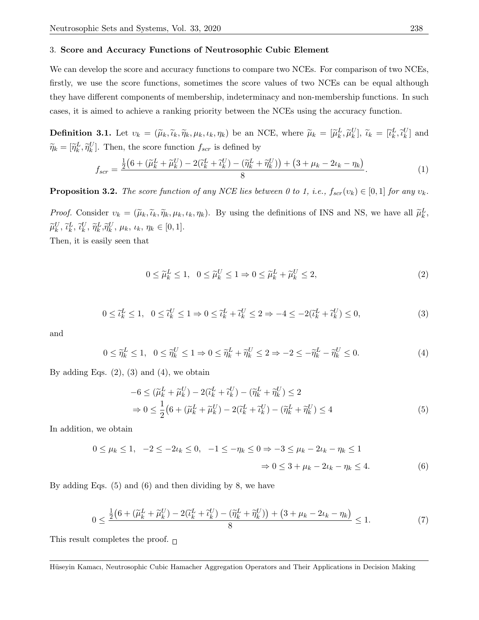#### 3. Score and Accuracy Functions of Neutrosophic Cubic Element

We can develop the score and accuracy functions to compare two NCEs. For comparison of two NCEs, firstly, we use the score functions, sometimes the score values of two NCEs can be equal although they have different components of membership, indeterminacy and non-membership functions. In such cases, it is aimed to achieve a ranking priority between the NCEs using the accuracy function.

**Definition 3.1.** Let  $v_k = (\tilde{\mu}_k, \tilde{\nu}_k, \tilde{\eta}_k, \mu_k, \iota_k, \eta_k)$  be an NCE, where  $\tilde{\mu}_k = [\tilde{\mu}_k^L, \tilde{\mu}_k^U], \tilde{\iota}_k = [\tilde{\iota}_k^L, \tilde{\iota}_k^U]$  and  $\widetilde{\eta}_k = [\widetilde{\eta}_k^L, \widetilde{\eta}_k^U].$  Then, the score function  $f_{scr}$  is defined by

$$
f_{scr} = \frac{\frac{1}{2}\left(6 + \left(\widetilde{\mu}_k^L + \widetilde{\mu}_k^U\right) - 2\left(\widetilde{\iota}_k^L + \widetilde{\iota}_k^U\right) - \left(\widetilde{\eta}_k^L + \widetilde{\eta}_k^U\right)\right) + \left(3 + \mu_k - 2\mu_k - \eta_k\right)}{8}.\tag{1}
$$

**Proposition 3.2.** The score function of any NCE lies between 0 to 1, i.e.,  $f_{scr}(v_k) \in [0,1]$  for any  $v_k$ .

Proof. Consider  $v_k = (\tilde{\mu}_k, \tilde{\iota}_k, \tilde{\eta}_k, \mu_k, \iota_k, \eta_k)$ . By using the definitions of INS and NS, we have all  $\tilde{\mu}_k^L$ ,  $\widetilde{\mu}_k^U, \widetilde{\iota}_k^L, \widetilde{\iota}_k^U, \widetilde{\eta}_k^L, \widetilde{\eta}_k^U, \mu_k, \iota_k, \eta_k \in [0, 1].$ 

Then, it is easily seen that

$$
0 \le \tilde{\mu}_k^L \le 1, \quad 0 \le \tilde{\mu}_k^U \le 1 \Rightarrow 0 \le \tilde{\mu}_k^L + \tilde{\mu}_k^U \le 2,\tag{2}
$$

$$
0 \leq \tilde{t}_k^L \leq 1, \quad 0 \leq \tilde{t}_k^U \leq 1 \Rightarrow 0 \leq \tilde{t}_k^L + \tilde{t}_k^U \leq 2 \Rightarrow -4 \leq -2(\tilde{t}_k^L + \tilde{t}_k^U) \leq 0,\tag{3}
$$

and

$$
0 \leq \widetilde{\eta}_k^L \leq 1, \quad 0 \leq \widetilde{\eta}_k^U \leq 1 \Rightarrow 0 \leq \widetilde{\eta}_k^L + \widetilde{\eta}_k^U \leq 2 \Rightarrow -2 \leq -\widetilde{\eta}_k^L - \widetilde{\eta}_k^U \leq 0. \tag{4}
$$

By adding Eqs.  $(2)$ ,  $(3)$  and  $(4)$ , we obtain

$$
-6 \leq (\widetilde{\mu}_k^L + \widetilde{\mu}_k^U) - 2(\widetilde{\iota}_k^L + \widetilde{\iota}_k^U) - (\widetilde{\eta}_k^L + \widetilde{\eta}_k^U) \leq 2
$$
  
\n
$$
\Rightarrow 0 \leq \frac{1}{2} \left( 6 + (\widetilde{\mu}_k^L + \widetilde{\mu}_k^U) - 2(\widetilde{\iota}_k^L + \widetilde{\iota}_k^U) - (\widetilde{\eta}_k^L + \widetilde{\eta}_k^U) \leq 4
$$
\n(5)

In addition, we obtain

$$
0 \le \mu_k \le 1, \quad -2 \le -2\iota_k \le 0, \quad -1 \le -\eta_k \le 0 \Rightarrow -3 \le \mu_k - 2\iota_k - \eta_k \le 1
$$
  

$$
\Rightarrow 0 \le 3 + \mu_k - 2\iota_k - \eta_k \le 4.
$$
 (6)

By adding Eqs. (5) and (6) and then dividing by 8, we have

$$
0 \le \frac{\frac{1}{2}(6 + (\widetilde{\mu}_k^L + \widetilde{\mu}_k^U) - 2(\widetilde{\iota}_k^L + \widetilde{\iota}_k^U) - (\widetilde{\eta}_k^L + \widetilde{\eta}_k^U)) + (3 + \mu_k - 2\iota_k - \eta_k)}{8} \le 1.
$$
 (7)

This result completes the proof.  $\Box$ 

Hüseyin Kamacı, Neutrosophic Cubic Hamacher Aggregation Operators and Their Applications in Decision Making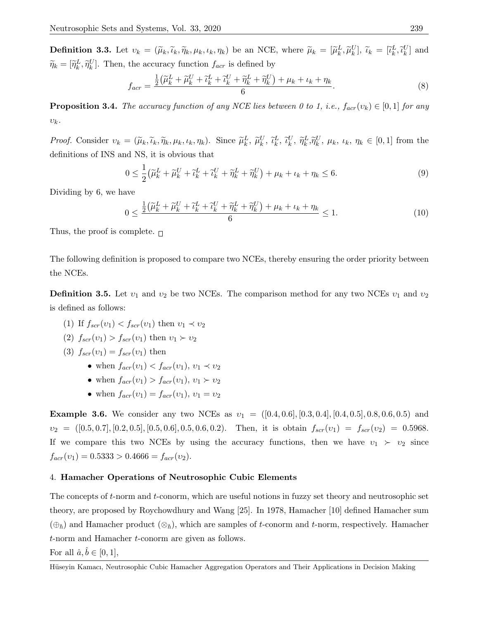**Definition 3.3.** Let  $v_k = (\tilde{\mu}_k, \tilde{\nu}_k, \tilde{\eta}_k, \mu_k, \iota_k, \eta_k)$  be an NCE, where  $\tilde{\mu}_k = [\tilde{\mu}_k^L, \tilde{\mu}_k^U], \tilde{\iota}_k = [\tilde{\iota}_k^L, \tilde{\iota}_k^U]$  and  $\widetilde{\eta}_k = [\widetilde{\eta}_k^L, \widetilde{\eta}_k^U].$  Then, the accuracy function  $f_{acr}$  is defined by

$$
f_{acr} = \frac{\frac{1}{2} \left( \widetilde{\mu}_k^L + \widetilde{\mu}_k^U + \widetilde{\iota}_k^L + \widetilde{\iota}_k^U + \widetilde{\eta}_k^L + \widetilde{\eta}_k^U \right) + \mu_k + \iota_k + \eta_k}{6}.
$$
\n
$$
(8)
$$

**Proposition 3.4.** The accuracy function of any NCE lies between 0 to 1, i.e.,  $f_{acr}(v_k) \in [0,1]$  for any  $v_k$ .

Proof. Consider  $v_k = (\tilde{\mu}_k, \tilde{\nu}_k, \tilde{\eta}_k, \mu_k, \iota_k, \eta_k)$ . Since  $\tilde{\mu}_k^L, \tilde{\mu}_k^U, \tilde{\nu}_k^L, \tilde{\nu}_k^U, \tilde{\eta}_k^L, \tilde{\eta}_k^U, \mu_k, \iota_k, \eta_k \in [0, 1]$  from the definitions of INS and NS, it is obvious that

$$
0 \leq \frac{1}{2} \left( \widetilde{\mu}_k^L + \widetilde{\mu}_k^U + \widetilde{\iota}_k^L + \widetilde{\iota}_k^U + \widetilde{\eta}_k^L + \widetilde{\eta}_k^U \right) + \mu_k + \iota_k + \eta_k \leq 6. \tag{9}
$$

Dividing by 6, we have

$$
0 \le \frac{\frac{1}{2} \left(\tilde{\mu}_k^L + \tilde{\mu}_k^U + \tilde{\iota}_k^L + \tilde{\iota}_k^U + \tilde{\eta}_k^U + \tilde{\eta}_k^U\right) + \mu_k + \iota_k + \eta_k}{6} \le 1.
$$
\n
$$
(10)
$$

Thus, the proof is complete.  $\Box$ 

The following definition is proposed to compare two NCEs, thereby ensuring the order priority between the NCEs.

**Definition 3.5.** Let  $v_1$  and  $v_2$  be two NCEs. The comparison method for any two NCEs  $v_1$  and  $v_2$ is defined as follows:

- (1) If  $f_{scr}(v_1) < f_{scr}(v_1)$  then  $v_1 \prec v_2$
- (2)  $f_{scr}(v_1) > f_{scr}(v_1)$  then  $v_1 \succ v_2$
- (3)  $f_{scr}(v_1) = f_{scr}(v_1)$  then
	- when  $f_{acr}(v_1) < f_{acr}(v_1)$ ,  $v_1 \prec v_2$
	- when  $f_{\text{acr}}(v_1) > f_{\text{acr}}(v_1), v_1 \succ v_2$
	- when  $f_{acr}(v_1) = f_{acr}(v_1), v_1 = v_2$

**Example 3.6.** We consider any two NCEs as  $v_1 = ([0.4, 0.6], [0.3, 0.4], [0.4, 0.5], 0.8, 0.6, 0.5)$  and  $v_2 = ([0.5, 0.7], [0.2, 0.5], [0.5, 0.6], 0.5, 0.6, 0.2).$  Then, it is obtain  $f_{scr}(v_1) = f_{scr}(v_2) = 0.5968.$ If we compare this two NCEs by using the accuracy functions, then we have  $v_1 \succ v_2$  since  $f_{acr}(v_1) = 0.5333 > 0.4666 = f_{acr}(v_2).$ 

## 4. Hamacher Operations of Neutrosophic Cubic Elements

The concepts of t-norm and t-conorm, which are useful notions in fuzzy set theory and neutrosophic set theory, are proposed by Roychowdhury and Wang [25]. In 1978, Hamacher [10] defined Hamacher sum  $(\oplus_{\hbar})$  and Hamacher product  $(\otimes_{\hbar})$ , which are samples of t-conorm and t-norm, respectively. Hamacher t-norm and Hamacher t-conorm are given as follows.

For all  $\hat{a}, \hat{b} \in [0, 1]$ ,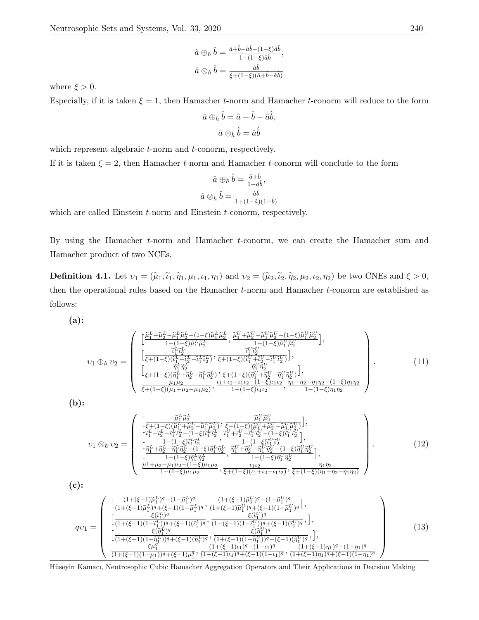$$
\hat{a} \oplus_{\hbar} \hat{b} = \frac{\hat{a} + \hat{b} - \hat{a}\hat{b} - (1 - \xi)\hat{a}\hat{b}}{1 - (1 - \xi)\hat{a}\hat{b}},
$$

$$
\hat{a} \otimes_{\hbar} \hat{b} = \frac{\hat{a}\hat{b}}{\xi + (1 - \xi)(\hat{a} + \hat{b} - \hat{a}\hat{b})}
$$

where  $\xi > 0$ .

Especially, if it is taken  $\xi = 1$ , then Hamacher t-norm and Hamacher t-conorm will reduce to the form

$$
\hat{a} \oplus_{\hbar} \hat{b} = \hat{a} + \hat{b} - \hat{a}\hat{b},
$$

$$
\hat{a} \otimes_{\hbar} \hat{b} = \hat{a}\hat{b}
$$

which represent algebraic *t*-norm and *t*-conorm, respectively.

If it is taken  $\xi = 2$ , then Hamacher t-norm and Hamacher t-conorm will conclude to the form

$$
\hat{a} \oplus_{\hbar} \hat{b} = \frac{\hat{a} + \hat{b}}{1 - \hat{a}\hat{b}},
$$

$$
\hat{a} \otimes_{\hbar} \hat{b} = \frac{\hat{a}\hat{b}}{1 + (1 - \hat{a})(1 - \hat{b})}
$$

which are called Einstein *t*-norm and Einstein *t*-conorm, respectively.

By using the Hamacher t-norm and Hamacher t-conorm, we can create the Hamacher sum and Hamacher product of two NCEs.

**Definition 4.1.** Let  $v_1 = (\tilde{\mu}_1, \tilde{\iota}_1, \tilde{\eta}_1, \mu_1, \iota_1, \eta_1)$  and  $v_2 = (\tilde{\mu}_2, \tilde{\iota}_2, \tilde{\eta}_2, \mu_2, \iota_2, \eta_2)$  be two CNEs and  $\xi > 0$ , then the operational rules based on the Hamacher t-norm and Hamacher t-conorm are established as follows:

$$
(a)
$$
:

$$
v_{1} \oplus_{\hbar} v_{2} = \begin{pmatrix} \left[ \frac{\tilde{\mu}_{1}^{L} + \tilde{\mu}_{2}^{L} - \tilde{\mu}_{1}^{L} \tilde{\mu}_{2}^{L} - (1 - \xi) \tilde{\mu}_{1}^{L} \tilde{\mu}_{2}^{L}}{1 - (1 - \xi) \tilde{\mu}_{1}^{L} \tilde{\mu}_{2}^{L}}, \frac{\tilde{\mu}_{1}^{U} + \tilde{\mu}_{2}^{U} - \tilde{\mu}_{1}^{U} \tilde{\mu}_{2}^{U} - (1 - \xi) \tilde{\mu}_{1}^{U} \tilde{\mu}_{2}^{U}}{1 - (1 - \xi) \tilde{\mu}_{1}^{U} \tilde{\mu}_{2}^{U}} \right], \\ \left[ \frac{\tilde{\mu}_{1}^{L} \tilde{\mu}_{2}^{L}}{\xi + (1 - \xi) (\tilde{\mu}_{1}^{L} + \tilde{\mu}_{2}^{L} - \tilde{\mu}_{1}^{L} \tilde{\mu}_{2}^{U})}, \frac{\tilde{\mu}_{1}^{U} \tilde{\mu}_{2}^{U}}{\xi + (1 - \xi) (\tilde{\mu}_{1}^{U} + \tilde{\mu}_{2}^{U} - \tilde{\mu}_{1}^{U} \tilde{\mu}_{2}^{U})} \right], \\ \left[ \frac{\tilde{\eta}_{1}^{L} \tilde{\eta}_{2}^{L}}{\xi + (1 - \xi) (\tilde{\eta}_{1}^{L} + \tilde{\eta}_{2}^{L} - \tilde{\eta}_{1}^{L} \tilde{\eta}_{2}^{L})}, \frac{\tilde{\eta}_{1}^{U} \tilde{\eta}_{2}^{U}}{\xi + (1 - \xi) (\tilde{\eta}_{1}^{U} + \tilde{\eta}_{2}^{U} - \tilde{\eta}_{1}^{U} \tilde{\eta}_{2}^{U})} \right], \\ \frac{\mu_{1} \mu_{2}}{\xi + (1 - \xi) (\mu_{1} + \mu_{2} - \mu_{1} \mu_{2})}, \frac{\mu_{1} + \mu_{2} - \mu_{1} \mu_{2} - (1 - \xi) \mu_{1} \mu_{2}}{1 - (1 - \xi) \mu_{1} \mu_{2}}, \frac{\eta_{1} + \eta_{2} - \eta_{1} \eta_{2} - (1 - \xi) \eta_{1} \eta_{2}}{1 - (1 - \xi) \eta_{1} \eta_{2}} \end{pmatrix} \tag{11}
$$

(b):

$$
v_{1} \otimes_{\hbar} v_{2} = \begin{pmatrix} \left[ \frac{\tilde{\mu}_{1}^{L} \tilde{\mu}_{2}^{L}}{\xi + (1 - \xi)(\tilde{\mu}_{1}^{L} + \tilde{\mu}_{2}^{L} - \tilde{\mu}_{1}^{L} \tilde{\mu}_{2}^{L})}, \frac{\tilde{\mu}_{1}^{U} \tilde{\mu}_{2}^{U}}{\xi + (1 - \xi)(\tilde{\mu}_{1}^{U} + \tilde{\mu}_{2}^{U} - \tilde{\mu}_{1}^{U} \tilde{\mu}_{2}^{U})} \right], \\ \left[ \frac{\tilde{\mu}_{1}^{L} + \tilde{\mu}_{2}^{L} - \tilde{\mu}_{1}^{L} \tilde{\mu}_{2}^{L} - (1 - \xi)\tilde{\mu}_{1}^{L} \tilde{\mu}_{2}^{L}}{1 - (1 - \xi)\tilde{\mu}_{1}^{U} \tilde{\mu}_{2}^{U}}, \frac{\tilde{\mu}_{1}^{U} + \tilde{\mu}_{2}^{U} - \tilde{\mu}_{1}^{U} \tilde{\mu}_{2}^{U} - (1 - \xi)\tilde{\mu}_{1}^{U} \tilde{\mu}_{2}^{U}}{1 - (1 - \xi)\tilde{\mu}_{1}^{U} \tilde{\mu}_{2}^{U}}, \frac{\tilde{\mu}_{1}^{U} + \tilde{\mu}_{2}^{U} - \tilde{\mu}_{1}^{U} \tilde{\mu}_{2}^{U} - (1 - \xi)\tilde{\mu}_{1}^{U} \tilde{\mu}_{2}^{U}}{1 - (1 - \xi)\tilde{\mu}_{1}^{U} \tilde{\mu}_{2}^{U}}, \frac{\tilde{\mu}_{1}^{U} + \tilde{\mu}_{2}^{U} - \tilde{\mu}_{1}^{U} \tilde{\mu}_{2}^{U} - (1 - \xi)\tilde{\mu}_{1}^{U} \tilde{\mu}_{2}^{U}}{1 - (1 - \xi)\tilde{\mu}_{1}^{U} \tilde{\mu}_{2}^{U}}, \frac{\tilde{\mu}_{1}^{U}}{1 - (1 - \xi)\tilde{\mu}_{1}^{U} \tilde{\mu}_{2}^{U}} \right], \quad (12)
$$
\n
$$
\frac{\mu_{1}^{U} + \mu_{2}^{U} - \mu_{1}^{U} \mu_{2} - (1 - \xi)\mu_{1}^{U} \mu_{2}}{1 - (1 - \xi)\mu_{1}^{U} \mu_{2}}, \frac{\mu_{1}^{U
$$

(c):

$$
qv_{1} = \begin{pmatrix} \left[ \frac{(1+(\xi-1)\widetilde{\mu}_{1}^{L})^{q} - (1-\widetilde{\mu}_{1}^{L})^{q}}{(1+(\xi-1)\widetilde{\mu}_{1}^{L})^{q} + (\xi-1)(1-\widetilde{\mu}_{1}^{L})^{q}} \frac{(1+(\xi-1)\widetilde{\mu}_{1}^{U})^{q} - (1-\widetilde{\mu}_{1}^{U})^{q}}{(1+(\xi-1)\widetilde{\mu}_{1}^{U})^{q} + (\xi-1)(1-\widetilde{\mu}_{1}^{U})^{q}} \right], \\ \left[ \frac{\xi(\widetilde{\mu}_{1}^{L})^{q}}{(1+(\xi-1)(1-\widetilde{\mu}_{1}^{L})^{q} + (\xi-1)(\widetilde{\mu}_{1}^{L})^{q}} \frac{\xi(\widetilde{\mu}_{1}^{U})^{q}}{(1+(\xi-1)(1-\widetilde{\mu}_{1}^{U})^{q} + (\xi-1)(\widetilde{\mu}_{1}^{U})^{q}} \right], \\ \left[ \frac{\xi(\widetilde{\eta}_{1}^{L})^{q}}{(1+(\xi-1)(1-\widetilde{\eta}_{1}^{L})^{q} + (\xi-1)(\widetilde{\eta}_{1}^{L})^{q}} \frac{\xi(\widetilde{\eta}_{1}^{U})^{q}}{(1+(\xi-1)(1-\widetilde{\eta}_{1}^{U})^{q} + (\xi-1)(\widetilde{\eta}_{1}^{U})^{q}} \right], \\ \frac{\xi\mu_{1}^{q}}{(1+(\xi-1)(1-\mu_{1}))^{q} + (\xi-1)\mu_{1}^{q}} \frac{(1+(\xi-1)\mu_{1})^{q} - (1-\mu_{1})^{q}}{(1+(\xi-1)\mu_{1})^{q} + (\xi-1)(1-\mu_{1})^{q}} \frac{(1+(\xi-1)\eta_{1})^{q} - (1-\eta_{1})^{q}}{(1+(\xi-1)\eta_{1})^{q} + (\xi-1)(1-\eta_{1})^{q}} \end{pmatrix} \tag{13}
$$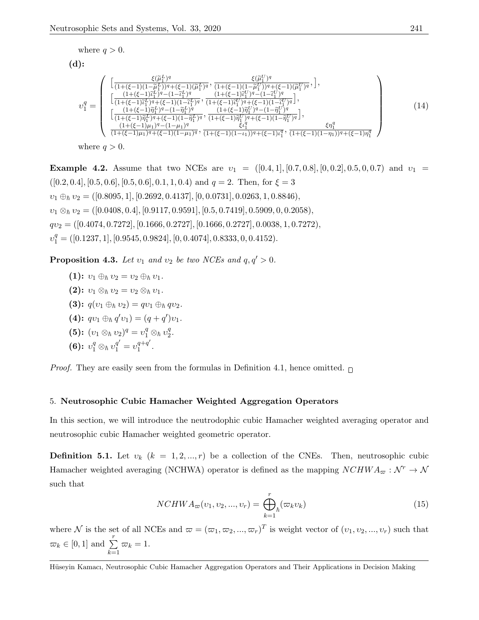where 
$$
q > 0
$$
.

(d):

$$
v_{1}^{q} = \begin{pmatrix} \left[ \frac{\xi(\tilde{\mu}_{1}^{L})^{q}}{(1+(\xi-1)(1-\tilde{\mu}_{1}^{L}))^{q}+(\xi-1)(\tilde{\mu}_{1}^{L})^{q}} , \frac{\xi(\tilde{\mu}_{1}^{U})^{q}}{(1+(\xi-1)(1-\tilde{\mu}_{1}^{U}))^{q}+(\xi-1)(\tilde{\mu}_{1}^{U})^{q}} , \right], \\ \left[ \frac{(1+(\xi-1)\tilde{\mu}_{1}^{L})^{q}-(1-\tilde{\mu}_{1}^{L})^{q}}{(1+(\xi-1)\tilde{\mu}_{1}^{L})^{q}+(\xi-1)(1-\tilde{\mu}_{1}^{U})^{q}} , \frac{(1+(\xi-1)\tilde{\mu}_{1}^{U})^{q}-(1-\tilde{\mu}_{1}^{U})^{q}}{(1+(\xi-1)\tilde{\eta}_{1}^{L})^{q}-(1-\tilde{\eta}_{1}^{U})^{q}} , \frac{(1+(\xi-1)\tilde{\mu}_{1}^{U})^{q}-(1-\tilde{\mu}_{1}^{U})^{q}}{(1+(\xi-1)\tilde{\eta}_{1}^{L})^{q}+(\xi-1)(1-\tilde{\eta}_{1}^{U})^{q}} , \frac{(1+(\xi-1)\tilde{\eta}_{1}^{U})^{q}-(1-\tilde{\eta}_{1}^{U})^{q}}{(1+(\xi-1)\mu_{1})^{q}-(1-\mu_{1})^{q}} , \frac{\xi\eta_{1}^{q}}{(1+(\xi-1)(1-\eta_{1}^{U})^{q})}, \frac{\xi\eta_{1}^{q}}{(1+(\xi-1)(1-\eta_{1}))^{q}+(\xi-1)\eta_{1}^{q}} \end{pmatrix} \tag{14}
$$

where  $q > 0$ .

**Example 4.2.** Assume that two NCEs are  $v_1 = ([0.4, 1], [0.7, 0.8], [0, 0.2], 0.5, 0, 0.7)$  and  $v_1 =$  $([0.2, 0.4], [0.5, 0.6], [0.5, 0.6], 0.1, 1, 0.4)$  and  $q = 2$ . Then, for  $\xi = 3$  $v_1 \oplus_h v_2 = ([0.8095, 1], [0.2692, 0.4137], [0, 0.0731], 0.0263, 1, 0.8846),$  $v_1 \otimes_h v_2 = ( [0.0408, 0.4], [0.9117, 0.9591], [0.5, 0.7419], 0.5909, 0, 0.2058),$  $qv_2 = ([0.4074, 0.7272], [0.1666, 0.2727], [0.1666, 0.2727], 0.0038, 1, 0.7272),$  $v_1^q = ([0.1237, 1], [0.9545, 0.9824], [0, 0.4074], 0.8333, 0, 0.4152).$ 

**Proposition 4.3.** Let  $v_1$  and  $v_2$  be two NCEs and  $q, q' > 0$ .

 $(1): v_1 \oplus_{\hbar} v_2 = v_2 \oplus_{\hbar} v_1.$ (2):  $v_1 \otimes_h v_2 = v_2 \otimes_h v_1$ . (3):  $q(v_1 \oplus_h v_2) = qv_1 \oplus_h qv_2$ . (4):  $qv_1 \oplus_h q'v_1$  =  $(q+q')v_1$ . (5):  $(v_1 \otimes_h v_2)^q = v_1^q \otimes_h v_2^q$  $\frac{q}{2}$ . (6):  $v_1^q \otimes_h v_1^{q'} = v_1^{q+q'}$  $\frac{q+q}{1}$ .

*Proof.* They are easily seen from the formulas in Definition 4.1, hence omitted.  $\Box$ 

## 5. Neutrosophic Cubic Hamacher Weighted Aggregation Operators

In this section, we will introduce the neutrodophic cubic Hamacher weighted averaging operator and neutrosophic cubic Hamacher weighted geometric operator.

**Definition 5.1.** Let  $v_k$  ( $k = 1, 2, ..., r$ ) be a collection of the CNEs. Then, neutrosophic cubic Hamacher weighted averaging (NCHWA) operator is defined as the mapping  $NCHWA_{\varpi} : \mathcal{N}^r \to \mathcal{N}$ such that

$$
NCHWA_{\varpi}(v_1, v_2, ..., v_r) = \bigoplus_{k=1}^r \{(\varpi_k v_k)\} \tag{15}
$$

where N is the set of all NCEs and  $\varpi = (\varpi_1, \varpi_2, ..., \varpi_r)^T$  is weight vector of  $(v_1, v_2, ..., v_r)$  such that  $\varpi_k \in [0, 1]$  and  $\sum^r$  $k=1$  $\varpi_k = 1.$ 

Hüseyin Kamacı, Neutrosophic Cubic Hamacher Aggregation Operators and Their Applications in Decision Making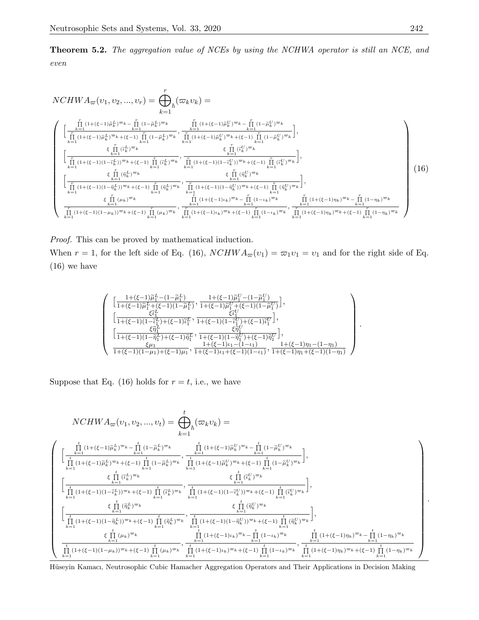Theorem 5.2. The aggregation value of NCEs by using the NCHWA operator is still an NCE, and even

$$
NCHWA_{\varpi}(v_{1}, v_{2}, ..., v_{r}) = \bigoplus_{k=1}^{r} (\varpi_{k}v_{k}) =
$$
\n
$$
\begin{cases}\n\left[\frac{\prod_{k=1}^{r} (1+(\xi-1)\tilde{\mu}_{k}^{L})^{\varpi_{k}} - \prod_{k=1}^{r} (1-\tilde{\mu}_{k}^{L})^{\varpi_{k}}}{\prod_{k=1}^{r} (1+(\xi-1)\tilde{\mu}_{k}^{L})^{\varpi_{k}} + (\xi-1) \prod_{k=1}^{r} (1-\tilde{\mu}_{k}^{L})^{\varpi_{k}}}, \frac{\prod_{k=1}^{r} (1+(\xi-1)\tilde{\mu}_{k}^{U})^{\varpi_{k}} - \prod_{k=1}^{r} (1-\tilde{\mu}_{k}^{U})^{\varpi_{k}}}{\prod_{k=1}^{r} (1+(\xi-1)\tilde{\mu}_{k}^{U})^{\varpi_{k}} + (\xi-1) \prod_{k=1}^{r} (1-\tilde{\mu}_{k}^{U})^{\varpi_{k}}}, \frac{\prod_{k=1}^{r} (1+(\xi-1)\tilde{\mu}_{k}^{U})^{\varpi_{k}} + (\xi-1) \prod_{k=1}^{r} (1-\tilde{\mu}_{k}^{U})^{\varpi_{k}}}{\prod_{k=1}^{r} (1+(\xi-1)(1-\tilde{\mu}_{k}^{U})^{\varpi_{k}} + (\xi-1) \prod_{k=1}^{r} (\tilde{\mu}_{k}^{U})^{\varpi_{k}}}, \frac{\prod_{k=1}^{r} (1+(\xi-1)(1-\tilde{\mu}_{k}^{U})^{\varpi_{k}} + (\xi-1) \prod_{k=1}^{r} (\tilde{\mu}_{k}^{U})^{\varpi_{k}}}{\prod_{k=1}^{r} (1+(\xi-1)(1-\tilde{\eta}_{k}^{U})^{\varpi_{k}} + (\xi-1) \prod_{k=1}^{r} (\tilde{\eta}_{k}^{U})^{\varpi_{k}}}, \frac{\prod_{k=1}^{r} (1+(\xi-1)(1-\tilde{\eta}_{k}^{U})^{\varpi_{k}} + (\xi-1) \prod_{k=1}^{r} (\tilde{\eta}_{k}^{U})^{\varpi_{k}}}{\prod_{k=1}^{r} (1+(\xi-1)(1-\tilde{\eta}_{k}^{U})^{\varpi_{k}} + (\xi-1) \prod_{k=1}^{r} (1+(\xi-1
$$

Proof. This can be proved by mathematical induction. When  $r = 1$ , for the left side of Eq. (16),  $NCHWA_{\varpi}(v_1) = \varpi_1v_1 = v_1$  and for the right side of Eq. (16) we have

$$
\left(\begin{array}{c} \left[\frac{1+(\xi-1)\widetilde{\mu}_{1}^{L}-(1-\widetilde{\mu}_{1}^{L})}{1+(\xi-1)\widetilde{\mu}_{1}^{L}+(\xi-1)(1-\widetilde{\mu}_{1}^{L})},\frac{1+(\xi-1)\widetilde{\mu}_{1}^{U}-(1-\widetilde{\mu}_{1}^{U})}{1+(\xi-1)(1-\widetilde{\mu}_{1}^{U})}\right],\\ \left[\frac{\xi\widetilde{t}_{1}^{L}}{1+(\xi-1)(1-\widetilde{t}_{1}^{L})+(\xi-1)\widetilde{t}_{1}^{L}},\frac{\xi\widetilde{t}_{1}^{U}}{1+(\xi-1)(1-\widetilde{t}_{1}^{U})+(\xi-1)\widetilde{t}_{1}^{U}}\right],\\ \left[\frac{\xi\widetilde{\eta}_{1}^{L}}{1+(\xi-1)(1-\widetilde{\eta}_{1}^{L})+(\xi-1)\widetilde{\eta}_{1}^{L}},\frac{\xi\widetilde{\eta}_{1}^{U}}{1+(\xi-1)(1-\widetilde{\eta}_{1}^{U})+(\xi-1)\widetilde{\eta}_{1}^{U}}\right],\\ \frac{\xi\mu_{1}}{1+(\xi-1)(1-\mu_{1})+(\xi-1)\mu_{1}},\frac{1+(\xi-1)\mu_{1}-(1-\iota_{1})}{1+(\xi-1)\mu_{1}+(\xi-1)(1-\iota_{1})},\frac{1+(\xi-1)\eta_{1}-(1-\eta_{1})}{1+(\xi-1)\eta_{1}+(\xi-1)(1-\eta_{1})}\end{array}\right) \label{eq:43}
$$

Suppose that Eq. (16) holds for  $r = t$ , i.e., we have

$$
NCHWA_{\varpi}(v_{1},v_{2},...,v_{t}) = \bigoplus_{k=1}^{t} (\varpi_{k}v_{k}) =
$$
\n
$$
\begin{cases}\n\int_{\frac{t}{t-1}}^{\frac{t}{t-1}(1+(\xi-1)\widetilde{\mu}_{k}^{L})^{\varpi_{k}} - \prod_{k=1}^{t}(1-\widetilde{\mu}_{k}^{L})^{\varpi_{k}}}{\prod_{k=1}^{t}(1+(\xi-1)\widetilde{\mu}_{k}^{L})^{\varpi_{k}}+(\xi-1)\prod_{k=1}^{t}(1+\widetilde{\mu}_{k}^{L})^{\varpi_{k}}}, \frac{\prod_{k=1}^{t}(1+(\xi-1)\widetilde{\mu}_{k}^{U})^{\varpi_{k}} - \prod_{k=1}^{t}(1-\widetilde{\mu}_{k}^{U})^{\varpi_{k}}}{\prod_{k=1}^{t}(1+(\xi-1)\widetilde{\mu}_{k}^{U})^{\varpi_{k}}+(\xi-1)\prod_{k=1}^{t}(1+\widetilde{\mu}_{k}^{U})^{\varpi_{k}}}, \frac{\xi\prod_{k=1}^{t}(1+(\xi-1)\widetilde{\mu}_{k}^{U})^{\varpi_{k}} + (\xi-1)\prod_{k=1}^{t}(1-\widetilde{\mu}_{k}^{U})^{\varpi_{k}}}{\prod_{k=1}^{t}(1+(\xi-1)(1-\widetilde{\mu}_{k}^{U}))^{\varpi_{k}}+(\xi-1)\prod_{k=1}^{t}(1+(\xi-1)(1-\widetilde{\mu}_{k}^{U}))^{\varpi_{k}}}, \frac{\xi\prod_{k=1}^{t}(i_{k}^{U})^{\varpi_{k}}}{\prod_{k=1}^{t}(1+(\xi-1)(1-\widetilde{\mu}_{k}^{U})^{\varpi_{k}}}, \frac{\xi\prod_{k=1}^{t}(i_{k}^{U})^{\varpi_{k}}}{\prod_{k=1}^{t}(1+(\xi-1)(1-\widetilde{\mu}_{k}^{U}))^{\varpi_{k}}+(\xi-1)\prod_{k=1}^{t}(i_{k}^{U})^{\varpi_{k}}}, \frac{\xi\prod_{k=1}^{t}(i_{k}^{U})^{\varpi_{k}}}{\prod_{k=1}^{t}(1+(\xi-1)(1-\widetilde{\mu}_{k}^{U})^{\varpi_{k}}}, \frac{\xi\prod_{k=1}^{t}(1+(\xi-1)(1-\widetilde{\mu}_{k}^{U})^{\varpi_{
$$

Hüseyin Kamacı, Neutrosophic Cubic Hamacher Aggregation Operators and Their Applications in Decision Making

.

.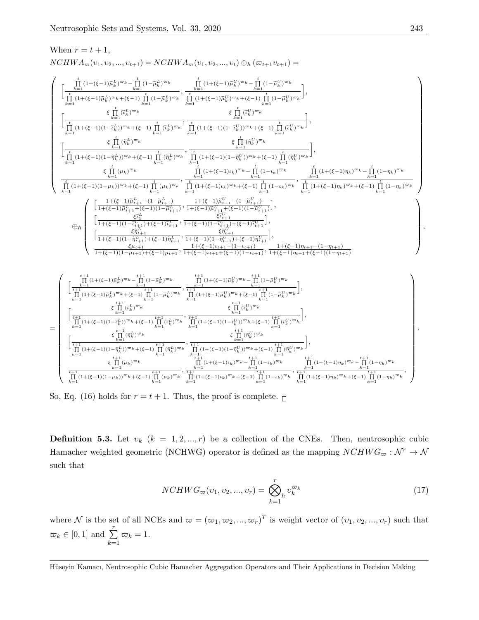When 
$$
r = t + 1
$$
,

 $NCHWA_{\varpi}(v_1, v_2, ..., v_{t+1}) = NCHWA_{\varpi}(v_1, v_2, ..., v_t) \oplus_{\hbar} (\varpi_{t+1}v_{t+1}) =$ 

$$
\left\{\begin{array}{l} \left[\begin{matrix} \frac{t}{k-1}(1+(\xi-1)\widetilde{\mu}_{k}^{L})^{\varpi_{k}}-\prod_{k=1}^{t}(1-\widetilde{\mu}_{k}^{L})^{\varpi_{k}} \\ \frac{t}{k-1}(1+(\xi-1)\widetilde{\mu}_{k}^{L})^{\varpi_{k}}+\xi(-1) \prod_{k=1}^{t}(1-\widetilde{\mu}_{k}^{L})^{\varpi_{k}} \\ \frac{t}{k-1}(1+(\xi-1)\widetilde{\mu}_{k}^{L})^{\varpi_{k}}+\xi(-1) \prod_{k=1}^{t}(1+\xi-1)\widetilde{\mu}_{k}^{L})^{\varpi_{k}}+\xi(-1) \prod_{k=1}^{t}(1-\widetilde{\mu}_{k}^{L})^{\varpi_{k}} \\ \frac{t}{k-1}(1+(\xi-1)(1-\widetilde{\mu}_{k}^{L})^{\varpi_{k}}+\xi(-1) \prod_{k=1}^{t}(1+\xi-1)(1-\widetilde{\eta}_{k}^{L})^{\varpi_{k}} \\ \frac{t}{k-1}(1+(\xi-1)(1-\widetilde{\eta}_{k}^{L})^{\varpi_{k}}+\xi(-1) \prod_{k=1}^{t}(1+(\xi-1)(1-\widetilde{\eta}_{k}^{L})^{\varpi_{k}} +\xi(-1) \prod_{k=1}^{t}(1-\xi_{k}^{L})^{\varpi_{k}} \\ \frac{t}{k-1}(1+(\xi-1)(1-\widetilde{\eta}_{k}^{L})^{\varpi_{k}}+\xi(-1) \prod_{k=1}^{t}(1+\xi-1)(1-\widetilde{\eta}_{k}^{L})^{\varpi_{k}} +\xi(-1) \prod_{k=1}^{t}(1+(\xi-1)(1-\widetilde{\eta}_{k}^{L})^{\varpi_{k}})\\ \frac{t}{k-1}(1+(\xi-1)(1-\widetilde{\mu}_{k}^{L})^{\varpi_{k}}+\xi(-1) \prod_{k=1}^{t}(1+(\xi-1)(1-\widetilde{\mu}_{k}^{L})^{\varpi_{k}} +\xi(-1) \prod_{k=1}^{t}(1+(\xi-1)(1-\widetilde{\mu}_{k}^{L})^{\varpi_{k}})\\ \frac{t}{k-1}(1+(\xi-1)(1-\mu_{k}))^{\varpi_{k}}+\xi(-1) \prod_{k=1}^{t}(1+(\xi-1)(1-\widetilde{\mu}_{k}^{L})^{\varpi_{k}}+\xi(-1) \prod
$$

So, Eq. (16) holds for  $r = t + 1$ . Thus, the proof is complete.

**Definition 5.3.** Let  $v_k$   $(k = 1, 2, ..., r)$  be a collection of the CNEs. Then, neutrosophic cubic Hamacher weighted geometric (NCHWG) operator is defined as the mapping  $NCHWG_{\varpi}: \mathcal{N}^r \to \mathcal{N}$ such that

$$
NCHWG_{\varpi}(v_1, v_2, ..., v_r) = \bigotimes_{k=1}^r v_k^{\varpi_k}
$$
\n(17)

where N is the set of all NCEs and  $\varpi = (\varpi_1, \varpi_2, ..., \varpi_r)^T$  is weight vector of  $(v_1, v_2, ..., v_r)$  such that  $\varpi_k \in [0, 1]$  and  $\sum^r$  $k=1$  $\varpi_k = 1.$ 

Hüseyin Kamacı, Neutrosophic Cubic Hamacher Aggregation Operators and Their Applications in Decision Making

.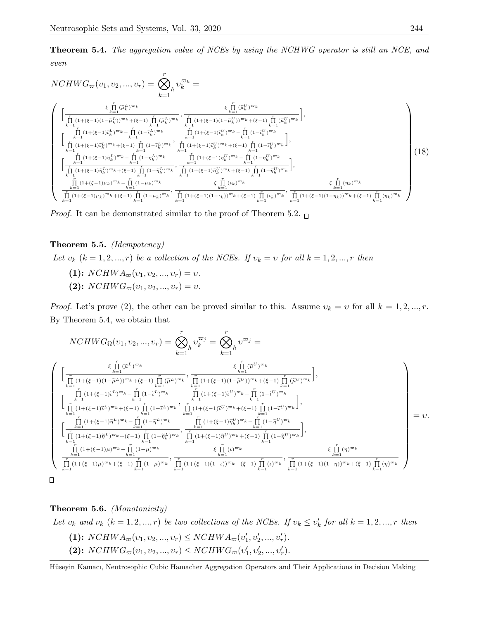**Theorem 5.4.** The aggregation value of NCEs by using the NCHWG operator is still an NCE, and even

$$
NCHWG_{\varpi}(v_{1}, v_{2}, ..., v_{r}) = \bigotimes_{k=1}^{r} v_{k}^{\varpi_{k}} =
$$
\n
$$
\begin{cases}\n\left[\frac{\varepsilon \prod_{i=1}^{r} (\tilde{\mu}_{k}^{L})^{\varpi_{k}}}{\prod_{k=1}^{r} (1+(\xi-1)(1-\tilde{\mu}_{k}^{L}))^{\varpi_{k}}+(\xi-1) \prod_{k=1}^{r} (\tilde{\mu}_{k}^{L})^{\varpi_{k}}}, \frac{\varepsilon \prod_{i=1}^{r} (\tilde{\mu}_{k}^{U})^{\varpi_{k}}}{\prod_{i=1}^{r} (1+(\xi-1)(1-\tilde{\mu}_{k}^{U}))^{\varpi_{k}}+(\xi-1) \prod_{i=1}^{r} (\tilde{\mu}_{k}^{U})^{\varpi_{k}}}\right], \\
\left[\frac{\prod_{i=1}^{r} (1+(\xi-1)\tilde{\mu}_{k}^{L})^{\varpi_{k}} - \prod_{i=1}^{r} (1-\tilde{\mu}_{k}^{L})^{\varpi_{k}}}{\prod_{i=1}^{r} (1+(\xi-1)\tilde{\mu}_{k}^{U})^{\varpi_{k}}+(\xi-1) \prod_{i=1}^{r} (1-\tilde{\mu}_{k}^{U})^{\varpi_{k}}}\right], \\
\left[\frac{\prod_{i=1}^{r} (1+(\xi-1)\tilde{\mu}_{k}^{L})^{\varpi_{k}} - \prod_{i=1}^{r} (1-\tilde{\mu}_{k}^{L})^{\varpi_{k}}}{\prod_{i=1}^{r} (1+(\xi-1)\tilde{\mu}_{k}^{U})^{\varpi_{k}}+(\xi-1) \prod_{i=1}^{r} (1-\tilde{\mu}_{k}^{U})^{\varpi_{k}}}\right], \\
\left[\frac{\prod_{i=1}^{r} (1+(\xi-1)\tilde{\mu}_{k}^{L})^{\varpi_{k}} - \prod_{i=1}^{r} (1-\tilde{\mu}_{k}^{L})^{\varpi_{k}}}{\prod_{i=1}^{r} (1+(\xi-1)\tilde{\mu}_{k}^{U})^{\varpi_{k}}+(\xi-1) \prod_{i=1}^{r} (1-\tilde{\mu}_{k}^{U})^{\varpi_{k}}+(\xi-1) \prod_{i=1}^{r} (1-\tilde{\mu}_{k}^{U})^{\varpi_{k}}}\right], \\
\frac{\prod_{i=1}^{r} (1+(\xi-1)\
$$

*Proof.* It can be demonstrated similar to the proof of Theorem 5.2.  $\Box$ 

## Theorem 5.5. (Idempotency)

Let  $v_k$   $(k = 1, 2, ..., r)$  be a collection of the NCEs. If  $v_k = v$  for all  $k = 1, 2, ..., r$  then

- (1):  $NCHWA_{\varpi}(v_1, v_2, ..., v_r) = v.$
- (2):  $NCHWG_{\varpi}(v_1, v_2, ..., v_r) = v.$

*Proof.* Let's prove (2), the other can be proved similar to this. Assume  $v_k = v$  for all  $k = 1, 2, ..., r$ . By Theorem 5.4, we obtain that

$$
NCHWG_{\Omega}(v_{1}, v_{2}, ..., v_{r}) = \bigotimes_{k=1}^{r} v_{k}^{\overline{\omega_{j}}} = \bigotimes_{k=1}^{r} v^{\overline{\omega_{j}}} = \sum_{k=1}^{r} v^{\overline{\omega_{j}}} = \sum_{k=1}^{r} v^{\overline{\omega_{j}}} = \sum_{k=1}^{r} (i^{\overline{\omega}})^{\overline{\omega}_{k}} + \sum_{k=1}^{r} (i^{\overline{\omega}})^{\overline{\omega}_{k}}
$$
\n
$$
\left[ \frac{\prod_{k=1}^{r} (1 + (\xi - 1)(1 - \tilde{\mu}^{L}))^{\overline{\omega}_{k}} + (\xi - 1) \prod_{k=1}^{r} (\tilde{\mu}^{L})^{\overline{\omega}_{k}}}{\prod_{k=1}^{r} (1 + (\xi - 1)\tilde{\mu}^{L})^{\overline{\omega}_{k}} + (\xi - 1) \prod_{k=1}^{r} (1 - \tilde{\mu}^{L})^{\overline{\omega}_{k}} + \prod_{k=1}^{r} (1 + (\xi - 1)\tilde{\mu}^{L})^{\overline{\omega}_{k}} + (\xi - 1) \prod_{k=1}^{r} (1 - \tilde{\mu}^{L})^{\overline{\omega}_{k}} \right],
$$
\n
$$
\left[ \frac{\prod_{k=1}^{r} (1 + (\xi - 1)\tilde{\mu}^{L})^{\overline{\omega}_{k}} + (\xi - 1) \prod_{k=1}^{r} (1 - \tilde{\mu}^{L})^{\overline{\omega}_{k}}}{\prod_{k=1}^{r} (1 + (\xi - 1)\tilde{\mu}^{L})^{\overline{\omega}_{k}} + (\xi - 1) \prod_{k=1}^{r} (1 + (\xi - 1)\tilde{\mu}^{L})^{\overline{\omega}_{k}} + (\xi - 1) \prod_{k=1}^{r} (1 - \tilde{\mu}^{L})^{\overline{\omega}_{k}} \right],
$$
\n
$$
\left[ \frac{\prod_{k=1}^{r} (1 + (\xi - 1)\tilde{\mu}^{L})^{\overline{\omega}_{k}} + (\xi - 1) \prod_{k=1}^{r} (1 - \tilde{\mu}^{L})^{\overline{\omega}_{k}}}{\prod_{k=1}^{r} (1 + (\xi - 1)\tilde{\mu}^{L})^{\overline{\omega}_{k}} + (\xi - 1) \prod_{k=1}^{r
$$

Theorem 5.6. (Monotonicity)

Let  $v_k$  and  $v_k$   $(k = 1, 2, ..., r)$  be two collections of the NCEs. If  $v_k \leq v'_k$  for all  $k = 1, 2, ..., r$  then (1):  $NCHWA_{\varpi}(v_1, v_2, ..., v_r) \le NCHWA_{\varpi}(v'_1, v'_2, ..., v'_r)$ . (2):  $NCHWG_{\varpi}(v_1, v_2, ..., v_r) \le NCHWG_{\varpi}(v'_1, v'_2, ..., v'_r)$ .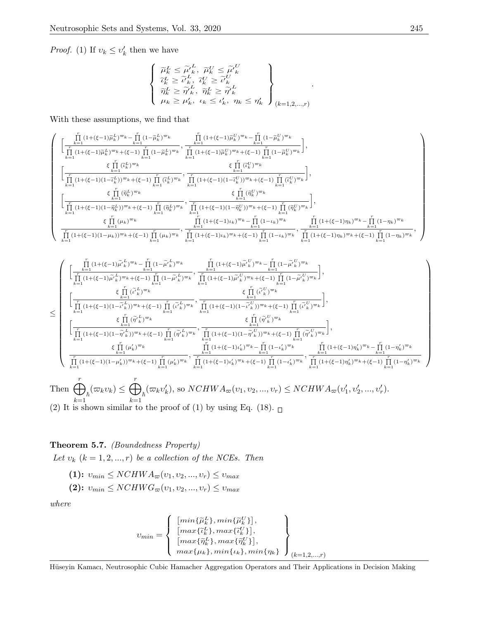*Proof.* (1) If  $v_k \le v'_k$  then we have

$$
\left\{\begin{array}{l}\widetilde{\mu}^L_k\leq \widetilde{\mu}'^L_k,\ \widetilde{\mu}^U_k\leq \widetilde{\mu}'^U_k\\ \widetilde{\iota}^L_k\geq \widetilde{\iota}'^L_k,\ \widetilde{\iota}^U_k\geq \widetilde{\iota}'^L_k\\ \widetilde{\eta}^L_k\geq \widetilde{\eta}'^L_k,\ \widetilde{\eta}^L_k\geq \widetilde{\eta}'^L_k\\ \mu_k\geq \mu'_k,\ \iota_k\leq \iota'_k,\ \eta_k\leq \eta'_k\end{array}\right\}_{(k=1,2,\ldots,r)}
$$

With these assumptions, we find that

$$
\left(\begin{array}{c} \prod_{k=1}^{T} (1+(\xi-1))\tilde{\mu}_{k}^{L})^{\varpi_{k}} - \prod_{k=1}^{T} (1-\tilde{\mu}_{k}^{L})^{\varpi_{k}} \\ \prod_{k=1}^{T} (1+(\xi-1))\tilde{\mu}_{k}^{L})^{\varpi_{k}} + (\xi-1) \prod_{k=1}^{T} (1-\tilde{\mu}_{k}^{L})^{\varpi_{k}} \\ \prod_{k=1}^{T} (1+(\xi-1))\tilde{\mu}_{k}^{L})^{\varpi_{k}} + (\xi-1) \prod_{k=1}^{T} (1-\tilde{\mu}_{k}^{L})^{\varpi_{k}} \\ \end{array}\right),\\ \left[\begin{array}{c} \sum_{k=1}^{T} (i\tilde{\mu}_{k}^{L})^{\varpi_{k}} \\ \prod_{k=1}^{T} (1+(\xi-1)(1-\tilde{\mu}_{k}^{L}))^{\varpi_{k}} + (\xi-1) \prod_{k=1}^{T} (\tilde{\mu}_{k}^{L})^{\varpi_{k}} \\ \prod_{k=1}^{T} (1+(\xi-1)(1-\tilde{\mu}_{k}^{L}))^{\varpi_{k}} + (\xi-1) \prod_{k=1}^{T} (\tilde{\mu}_{k}^{L})^{\varpi_{k}} \\ \end{array}\right],\\ \left[\begin{array}{c} \sum_{k=1}^{T} (i\tilde{\mu}_{k}^{L})^{\varpi_{k}} \\ \prod_{k=1}^{T} (1+(\xi-1)(1-\tilde{\mu}_{k}^{L}))^{\varpi_{k}} + (\xi-1) \prod_{k=1}^{T} (\tilde{\mu}_{k}^{L})^{\varpi_{k}} \\ \sum_{k=1}^{T} (1+(\xi-1)(1-\tilde{\mu}_{k}^{L}))^{\varpi_{k}} + (\xi-1) \prod_{k=1}^{T} (\tilde{\eta}_{k}^{L})^{\varpi_{k}} \\ \end{array}\right],\\ \left[\begin{array}{c} \sum_{k=1}^{T} (i\tilde{\mu}_{k}^{L})^{\varpi_{k}} \\ \prod_{k=1}^{T} (1+(\xi-1)(1-\tilde{\mu}_{k}^{L}))^{\varpi_{k}} + (\xi-1) \prod_{k=1}^{T} (\tilde{\eta}_{k}^{L})^{\varpi_{k}} \\ \sum_{k=1}^{T} (1+(\xi-1)\mu_{k})^{\varpi_{k}} + (\xi-1) \prod_{k=1}
$$

$$
\leq \begin{cases} \begin{aligned} &\left[\frac{\prod\limits_{k=1}^{n}(1+(\xi-1)\widetilde{\mu}_{k}^{L})^{\varpi_{k}}-\prod\limits_{k=1}^{n}(1-\widetilde{\mu}_{k}^{L})^{\varpi_{k}}}{\prod\limits_{k=1}^{n}(1+(\xi-1)\widetilde{\mu}_{k}^{U})^{\varpi_{k}}}+\prod\limits_{k=1}^{n}(1+(\xi-1)\widetilde{\mu}_{k}^{U})^{\varpi_{k}}+\left(\xi-1\right)\prod\limits_{k=1}^{n}(1-\widetilde{\mu}_{k}^{U})^{\varpi_{k}}\right],\\ &\left[\frac{\xi\prod\limits_{k=1}^{n}(\widetilde{\mu}_{k}^{L})^{\varpi_{k}}}{\prod\limits_{k=1}^{n}(1+(\xi-1)(1-\widetilde{\mu}_{k}^{U})^{\varpi_{k}}+(\xi-1)\prod\limits_{k=1}^{n}(1+(\xi-1)(1-\widetilde{\mu}_{k}^{U})^{\varpi_{k}})}+\prod\limits_{k=1}^{n}(1+(\xi-1)(1-\widetilde{\mu}_{k}^{U})^{\varpi_{k}}+\left(\xi-1\right)\prod\limits_{k=1}^{n}(\widetilde{\mu}_{k}^{U})^{\varpi_{k}}\right],\\ &\left[\frac{\xi\prod\limits_{k=1}^{n}(\widetilde{\eta}_{k}^{U})^{\varpi_{k}}}{\prod\limits_{k=1}^{n}(1+(\xi-1)(1-\widetilde{\eta}_{k}^{U})^{\varpi_{k}}+(\xi-1)\prod\limits_{k=1}^{n}(\widetilde{\eta}_{k}^{U})^{\varpi_{k}}},\frac{\xi\prod\limits_{k=1}^{n}(1+(\xi-1)(1-\widetilde{\mu}_{k}^{U})^{\varpi_{k}}+\left(\xi-1\right)\prod\limits_{k=1}^{n}(\widetilde{\mu}_{k}^{U})^{\varpi_{k}}}{\prod\limits_{k=1}^{n}(1+(\xi-1)(1-\widetilde{\eta}_{k}^{U})^{\varpi_{k}}+(\xi-1)\prod\limits_{k=1}^{n}(1+(\xi-1)(1-\widetilde{\eta}_{k}^{U})^{\varpi_{k}}+\left(\xi-1\right)\prod\limits_{k=1}^{n}(1+(\xi-1)\eta_{k}^{U})^{\varpi_{k}}+\left(\xi-1\right)\prod\limits_{k=1}^{n}(1+(\xi-1)\eta_{k}^{U})^{\varpi_{k}}+\
$$

(2) It is shown similar to the proof of (1) by using Eq. (18).  $\Box$ 

## Theorem 5.7. (Boundedness Property)

Let  $v_k$   $(k = 1, 2, ..., r)$  be a collection of the NCEs. Then

(1):  $v_{min} \leq NCHWA_{\varpi}(v_1, v_2, ..., v_r) \leq v_{max}$ (2):  $v_{min} \leq NCHWG_{\varpi}(v_1, v_2, ..., v_r) \leq v_{max}$ 

where

$$
v_{min} = \left\{ \begin{array}{l} [min\{\widetilde{\mu}_k^L\}, min\{\widetilde{\mu}_k^U\}],\\ [max\{\widetilde{\nu}_k^L\}, max\{\widetilde{\nu}_k^U\}],\\ [max\{\widetilde{\eta}_k^L\}, max\{\widetilde{\eta}_k^U\}],\\ max\{\mu_k\}, min\{\iota_k\}, min\{\eta_k\} \end{array} \right\}_{(k=1,2,...,r)}
$$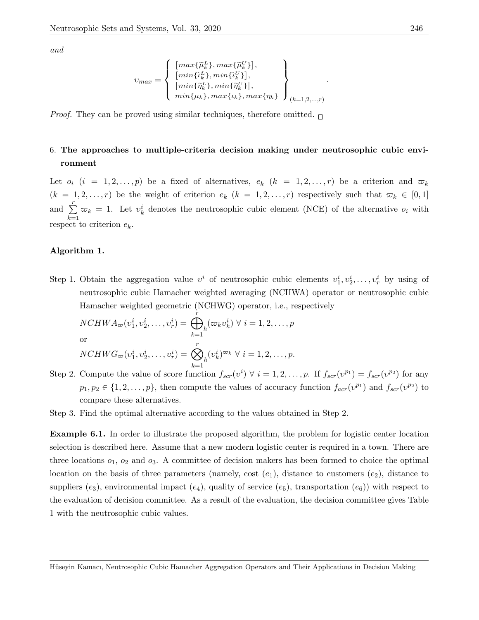and

$$
v_{max} = \left\{ \begin{array}{l} \left[ max\{\widetilde{\mu}_k^L\}, max\{\widetilde{\mu}_k^U\} \right], \\ \left[ min\{\widetilde{\nu}_k^L\}, min\{\widetilde{\nu}_k^U\} \right], \\ \left[ min\{\widetilde{\eta}_k^L\}, min\{\widetilde{\eta}_k^U\} \right], \\ min\{\mu_k\}, max\{\iota_k\}, max\{\eta_k\} \end{array} \right\}_{(k=1,2,...,r)}
$$

*Proof.* They can be proved using similar techniques, therefore omitted.  $\Box$ 

## 6. The approaches to multiple-criteria decision making under neutrosophic cubic environment

Let  $o_i$   $(i = 1, 2, ..., p)$  be a fixed of alternatives,  $e_k$   $(k = 1, 2, ..., r)$  be a criterion and  $\varpi_k$  $(k = 1, 2, \ldots, r)$  be the weight of criterion  $e_k$   $(k = 1, 2, \ldots, r)$  respectively such that  $\varpi_k \in [0, 1]$ and  $\sum_{r=1}^{r}$  $k=1$  $\overline{\omega}_k = 1$ . Let  $v_k^i$  denotes the neutrosophic cubic element (NCE) of the alternative  $o_i$  with respect to criterion  $e_k$ .

#### Algorithm 1.

Step 1. Obtain the aggregation value  $v^i$  of neutrosophic cubic elements  $v_1^i, v_2^i, \ldots, v_r^i$  by using of neutrosophic cubic Hamacher weighted averaging (NCHWA) operator or neutrosophic cubic Hamacher weighted geometric (NCHWG) operator, i.e., respectively

$$
NCHWA_{\varpi}(v_1^i, v_2^i, \dots, v_r^i) = \bigoplus_{k=1}^r {\n \varpi_k(v_k^i) \ \forall \ i = 1, 2, \dots, p}
$$
\nor

\n
$$
NCHWG_{\varpi}(v_1^i, v_2^i, \dots, v_r^i) = \bigotimes_{h=1}^r (v_k^i)^{\varpi_k} \ \forall \ i = 1, 2, \dots, p.
$$

 $k=1$ Step 2. Compute the value of score function  $f_{scr}(v^i) \forall i = 1, 2, ..., p$ . If  $f_{scr}(v^{p_1}) = f_{scr}(v^{p_2})$  for any  $p_1, p_2 \in \{1, 2, \ldots, p\}$ , then compute the values of accuracy function  $f_{acr}(v^{p_1})$  and  $f_{scr}(v^{p_2})$  to compare these alternatives.

Step 3. Find the optimal alternative according to the values obtained in Step 2.

Example 6.1. In order to illustrate the proposed algorithm, the problem for logistic center location selection is described here. Assume that a new modern logistic center is required in a town. There are three locations  $o_1$ ,  $o_2$  and  $o_3$ . A committee of decision makers has been formed to choice the optimal location on the basis of three parameters (namely, cost  $(e_1)$ , distance to customers  $(e_2)$ , distance to suppliers  $(e_3)$ , environmental impact  $(e_4)$ , quality of service  $(e_5)$ , transportation  $(e_6)$ ) with respect to the evaluation of decision committee. As a result of the evaluation, the decision committee gives Table 1 with the neutrosophic cubic values.

.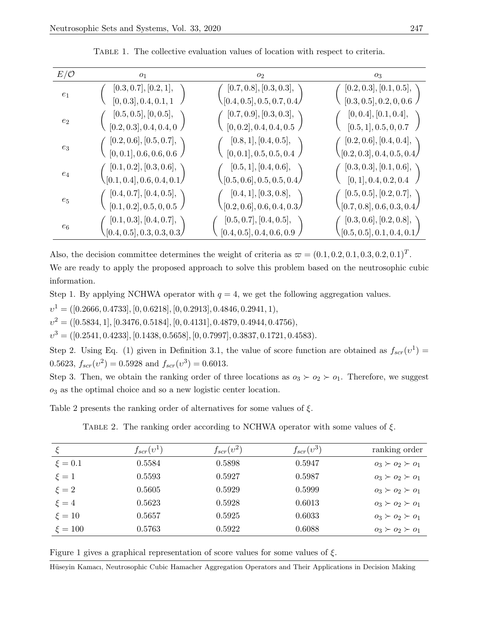| $E/\mathcal{O}$ | O <sub>1</sub>                          | O <sub>2</sub>                         | 03                                          |
|-----------------|-----------------------------------------|----------------------------------------|---------------------------------------------|
| $e_1$           | [0.3, 0.7], [0.2, 1],                   | [0.7, 0.8], [0.3, 0.3],                | [0.2, 0.3], [0.1, 0.5],                     |
|                 | [0, 0.3], 0.4, 0.1, 1                   | $\setminus [0.4, 0.5], 0.5, 0.7, 0.4/$ | [0.3, 0.5], 0.2, 0, 0.6                     |
| $e_2$           | [0.5, 0.5], [0, 0.5],                   | [0.7, 0.9], [0.3, 0.3],                | [0, 0.4], [0.1, 0.4],                       |
|                 | [0.2, 0.3], 0.4, 0.4, 0                 | [0, 0.2], 0.4, 0.4, 0.5                | [0.5, 1], 0.5, 0, 0.7                       |
| $e_3$           | [0.2, 0.6], [0.5, 0.7],                 | [0.8, 1], [0.4, 0.5],                  | [0.2, 0.6], [0.4, 0.4],                     |
|                 | [0, 0.1], 0.6, 0.6, 0.6                 | [0, 0.1], 0.5, 0.5, 0.4                | $\lesssim [0.2, 0.3], 0.4, 0.5, 0.4/$       |
| $e_4$           | [0.1, 0.2], [0.3, 0.6],                 | [0.5, 1], [0.4, 0.6],                  | [0.3, 0.3], [0.1, 0.6],                     |
|                 | $\mathcal{N}[0.1, 0.4], 0.6, 0.4, 0.1/$ | $\setminus [0.5,0.6], 0.5, 0.5, 0.4/$  | [0, 1], 0.4, 0.2, 0.4                       |
| $e_5$           | [0.4, 0.7], [0.4, 0.5],                 | [0.4, 1], [0.3, 0.8],                  | [0.5, 0.5], [0.2, 0.7],                     |
|                 | [0.1, 0.2], 0.5, 0, 0.5                 | $\setminus [0.2, 0.6], 0.6, 0.4, 0.3/$ | $\lambda[0.7,0.8],0.6,0.3,0.4/$             |
| $e_6$           | [0.1, 0.3], [0.4, 0.7],                 | [0.5, 0.7], [0.4, 0.5],                | [0.3, 0.6], [0.2, 0.8],                     |
|                 | (0.4, 0.5], 0.3, 0.3, 0.3)              | [0.4, 0.5], 0.4, 0.6, 0.9              | $\langle [0.5, 0.5], 0.1, 0.4, 0.1 \rangle$ |

Table 1. The collective evaluation values of location with respect to criteria.

Also, the decision committee determines the weight of criteria as  $\varpi = (0.1, 0.2, 0.1, 0.3, 0.2, 0.1)^T$ . We are ready to apply the proposed approach to solve this problem based on the neutrosophic cubic information.

Step 1. By applying NCHWA operator with  $q = 4$ , we get the following aggregation values.

 $v^1 = ( [0.2666, 0.4733], [0, 0.6218], [0, 0.2913], 0.4846, 0.2941, 1),$ 

 $v^2 = ( [0.5834, 1], [0.3476, 0.5184], [0, 0.4131], 0.4879, 0.4944, 0.4756),$ 

 $v^3 = ( [0.2541, 0.4233], [0.1438, 0.5658], [0, 0.7997], 0.3837, 0.1721, 0.4583).$ 

Step 2. Using Eq. (1) given in Definition 3.1, the value of score function are obtained as  $f_{scr}(v^1)$  = 0.5623,  $f_{scr}(v^2) = 0.5928$  and  $f_{scr}(v^3) = 0.6013$ .

Step 3. Then, we obtain the ranking order of three locations as  $o_3 \succ o_2 \succ o_1$ . Therefore, we suggest  $o_3$  as the optimal choice and so a new logistic center location.

Table 2 presents the ranking order of alternatives for some values of  $\xi$ .

TABLE 2. The ranking order according to NCHWA operator with some values of  $\xi$ .

|             | $f_{scr}(v^1)$ | $f_{scr}(v^2)$ | $f_{scr}(v^3)$ | ranking order             |
|-------------|----------------|----------------|----------------|---------------------------|
| $\xi = 0.1$ | 0.5584         | 0.5898         | 0.5947         | $o_3 \succ o_2 \succ o_1$ |
| $\xi = 1$   | 0.5593         | 0.5927         | 0.5987         | $o_3 \succ o_2 \succ o_1$ |
| $\xi = 2$   | 0.5605         | 0.5929         | 0.5999         | $o_3 \succ o_2 \succ o_1$ |
| $\xi = 4$   | 0.5623         | 0.5928         | 0.6013         | $0_3 \succ 0_2 \succ 0_1$ |
| $\xi = 10$  | 0.5657         | 0.5925         | 0.6033         | $0_3 \succ 0_2 \succ 0_1$ |
| $\xi = 100$ | 0.5763         | 0.5922         | 0.6088         | $0_3 \succ 0_2 \succ 0_1$ |

Figure 1 gives a graphical representation of score values for some values of  $\xi$ .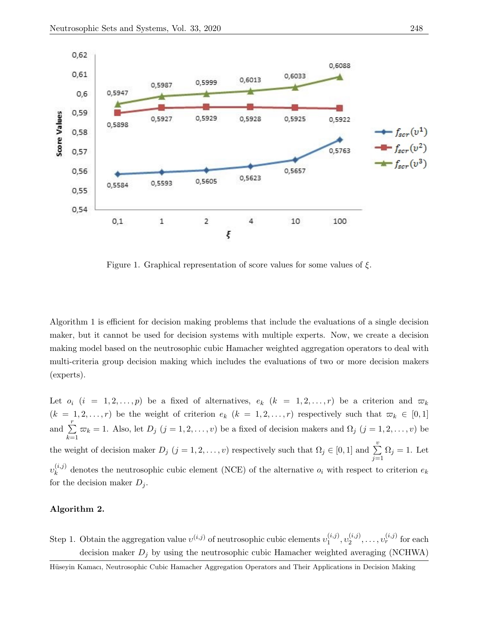

Figure 1. Graphical representation of score values for some values of  $\xi$ .

Algorithm 1 is efficient for decision making problems that include the evaluations of a single decision maker, but it cannot be used for decision systems with multiple experts. Now, we create a decision making model based on the neutrosophic cubic Hamacher weighted aggregation operators to deal with multi-criteria group decision making which includes the evaluations of two or more decision makers (experts).

Let  $o_i$   $(i = 1, 2, ..., p)$  be a fixed of alternatives,  $e_k$   $(k = 1, 2, ..., r)$  be a criterion and  $\varpi_k$  $(k = 1, 2, \ldots, r)$  be the weight of criterion  $e_k$   $(k = 1, 2, \ldots, r)$  respectively such that  $\varpi_k \in [0, 1]$ and  $\sum_{r=1}^{r}$  $_{k=1}$  $\varpi_k = 1$ . Also, let  $D_j$   $(j = 1, 2, \ldots, v)$  be a fixed of decision makers and  $\Omega_j$   $(j = 1, 2, \ldots, v)$  be the weight of decision maker  $D_j$   $(j = 1, 2, \ldots, v)$  respectively such that  $\Omega_j \in [0, 1]$  and  $\sum_{i=1}^{v}$  $j=1$  $\Omega_j = 1$ . Let  $v_{k}^{\left( i,j\right) }$  $\kappa_k^{(i,j)}$  denotes the neutrosophic cubic element (NCE) of the alternative  $o_i$  with respect to criterion  $e_k$ for the decision maker  $D_i$ .

## Algorithm 2.

Step 1. Obtain the aggregation value  $v^{(i,j)}$  of neutrosophic cubic elements  $v_1^{(i,j)}$  $\overset{(i,j)}{1}, \overset{(i,j)}{2}$  $v_2^{(i,j)}, \ldots, v_r^{(i,j)}$  for each decision maker  $D_j$  by using the neutrosophic cubic Hamacher weighted averaging (NCHWA)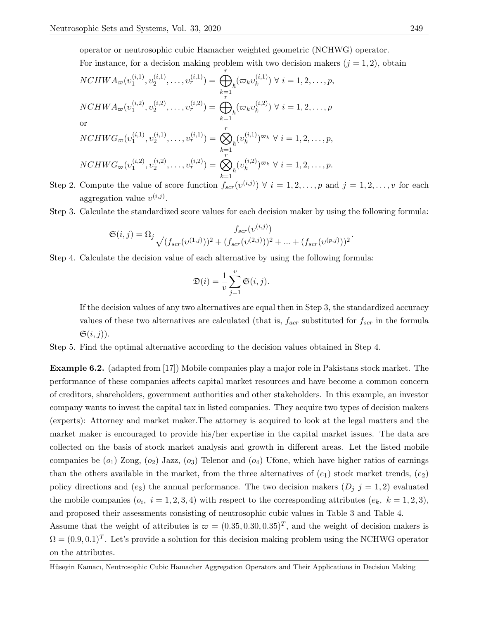operator or neutrosophic cubic Hamacher weighted geometric (NCHWG) operator. For instance, for a decision making problem with two decision makers  $(j = 1, 2)$ , obtain

$$
NCHWA_{\varpi}(v_{1}^{(i,1)}, v_{2}^{(i,1)}, \dots, v_{r}^{(i,1)}) = \bigoplus_{k=1}^{r} (\varpi_{k}v_{k}^{(i,1)}) \ \forall \ i = 1, 2, \dots, p,
$$
  
\n
$$
NCHWA_{\varpi}(v_{1}^{(i,2)}, v_{2}^{(i,2)}, \dots, v_{r}^{(i,2)}) = \bigoplus_{k=1}^{r} (\varpi_{k}v_{k}^{(i,2)}) \ \forall \ i = 1, 2, \dots, p
$$
  
\nor  
\n
$$
NCHWG_{\varpi}(v_{1}^{(i,1)}, v_{2}^{(i,1)}, \dots, v_{r}^{(i,1)}) = \bigotimes_{k=1}^{r} (v_{k}^{(i,1)})^{\varpi_{k}} \ \forall \ i = 1, 2, \dots, p,
$$
  
\n
$$
NCHWG_{\varpi}(v_{1}^{(i,2)}, v_{2}^{(i,2)}, \dots, v_{r}^{(i,2)}) = \bigotimes_{k=1}^{r} (v_{k}^{(i,2)})^{\varpi_{k}} \ \forall \ i = 1, 2, \dots, p.
$$
  
\nCompute the value of some function  $\frac{f}{\pi}$  (a(i,i))  $\forall i = 1, 2, \dots, n$  can be

Step 2. Compute the value of score function  $f_{scr}(v^{(i,j)}) \forall i = 1, 2, ..., p$  and  $j = 1, 2, ..., v$  for each aggregation value  $v^{(i,j)}$ .

Step 3. Calculate the standardized score values for each decision maker by using the following formula:

$$
\mathfrak{S}(i,j) = \Omega_j \frac{f_{scr}(v^{(i,j)})}{\sqrt{(f_{scr}(v^{(1,j)}))^2 + (f_{scr}(v^{(2,j)}))^2 + \dots + (f_{scr}(v^{(p,j)}))^2}}.
$$

Step 4. Calculate the decision value of each alternative by using the following formula:

$$
\mathfrak{D}(i) = \frac{1}{v} \sum_{j=1}^{v} \mathfrak{S}(i, j).
$$

If the decision values of any two alternatives are equal then in Step 3, the standardized accuracy values of these two alternatives are calculated (that is,  $f_{acr}$  substituted for  $f_{scr}$  in the formula  $\mathfrak{S}(i,j)$ ).

Step 5. Find the optimal alternative according to the decision values obtained in Step 4.

Example 6.2. (adapted from [17]) Mobile companies play a major role in Pakistans stock market. The performance of these companies affects capital market resources and have become a common concern of creditors, shareholders, government authorities and other stakeholders. In this example, an investor company wants to invest the capital tax in listed companies. They acquire two types of decision makers (experts): Attorney and market maker.The attorney is acquired to look at the legal matters and the market maker is encouraged to provide his/her expertise in the capital market issues. The data are collected on the basis of stock market analysis and growth in different areas. Let the listed mobile companies be  $(o_1)$  Zong,  $(o_2)$  Jazz,  $(o_3)$  Telenor and  $(o_4)$  Ufone, which have higher ratios of earnings than the others available in the market, from the three alternatives of  $(e_1)$  stock market trends,  $(e_2)$ policy directions and  $(e_3)$  the annual performance. The two decision makers  $(D_j \, j = 1, 2)$  evaluated the mobile companies  $(o_i, i = 1, 2, 3, 4)$  with respect to the corresponding attributes  $(e_k, k = 1, 2, 3)$ , and proposed their assessments consisting of neutrosophic cubic values in Table 3 and Table 4.

Assume that the weight of attributes is  $\varpi = (0.35, 0.30, 0.35)^T$ , and the weight of decision makers is  $\Omega = (0.9, 0.1)^T$ . Let's provide a solution for this decision making problem using the NCHWG operator on the attributes.

Hüseyin Kamacı, Neutrosophic Cubic Hamacher Aggregation Operators and Their Applications in Decision Making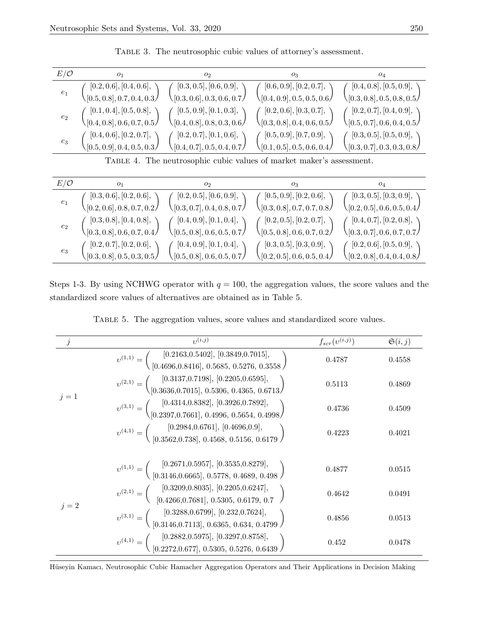| $E/\mathcal{O}$ | 01                                 | O <sub>2</sub>                         | 03                                     | 04                                     |
|-----------------|------------------------------------|----------------------------------------|----------------------------------------|----------------------------------------|
| $e_1$           | [0.2, 0.6], [0.4, 0.6],            | [0.3, 0.5], [0.6, 0.9],                | [0.6, 0.9], [0.2, 0.7],                | [0.4, 0.8], [0.5, 0.9],                |
|                 | $\sqrt{[0.5, 0.8]}, 0.7, 0.4, 0.3$ | $\setminus [0.3, 0.6], 0.3, 0.6, 0.7)$ | $\setminus [0.4, 0.9], 0.5, 0.5, 0.6/$ | $\setminus [0.3, 0.8], 0.5, 0.8, 0.5)$ |
| $e_2$           | [0.1, 0.4], [0.5, 0.8],            | (0.5, 0.9], [0.1, 0.3],                | (0.2, 0.6], [0.3, 0.7],                | [0.2, 0.7], [0.4, 0.9],                |
|                 | $\sqrt{[0.4, 0.8]}, 0.6, 0.7, 0.5$ | $\langle$ [0.4, 0.8], 0.8, 0.3, 0.6/   | (0.3, 0.8], 0.4, 0.6, 0.5)             | $\setminus [0.5, 0.7], 0.6, 0.4, 0.5/$ |
| $e_3$           | [0.4, 0.6], [0.2, 0.7],            | [0.2, 0.7], [0.1, 0.6],                | [0.5, 0.9], [0.7, 0.9],                | [0.3, 0.5], [0.5, 0.9],                |
|                 | $\sqrt{[0.5, 0.9]}, 0.4, 0.5, 0.3$ | $\setminus [0.4, 0.7], 0.5, 0.4, 0.7)$ | $\setminus [0.1, 0.5], 0.5, 0.6, 0.4/$ | $\setminus [0.3, 0.7], 0.3, 0.3, 0.8/$ |

Table 3. The neutrosophic cubic values of attorney's assessment.

Table 4. The neutrosophic cubic values of market maker's assessment.

| $E/\mathcal{O}$    | O <sub>1</sub>                              | 02                                     | 03                                        | 04                                            |
|--------------------|---------------------------------------------|----------------------------------------|-------------------------------------------|-----------------------------------------------|
| $\ensuremath{e}_1$ | [0.3, 0.6], [0.2, 0.6],                     | [0.2, 0.5], [0.6, 0.9],                | [0.5, 0.9], [0.2, 0.6],                   | [0.3, 0.5], [0.3, 0.9],                       |
|                    | $\langle [0.2, 0.6], 0.8, 0.7, 0.2 \rangle$ | $\setminus [0.3, 0.7], 0.4, 0.8, 0.7)$ | $\sqrt{[0.3, 0.8]}, 0.7, 0.7, 0.8\rangle$ | $\setminus [0.2, 0.5], 0.6, 0.5, 0.4/$        |
| $e_2$              | [0.3, 0.8], [0.4, 0.8],                     | [0.4, 0.9], [0.1, 0.4],                | [0.2, 0.5], [0.2, 0.7],                   | [0.4, 0.7], [0.2, 0.8],                       |
|                    | $\setminus [0.3, 0.8], 0.6, 0.7, 0.4/$      | $\setminus [0.5, 0.8], 0.6, 0.5, 0.7)$ | $\setminus [0.5, 0.8], 0.6, 0.7, 0.2/$    | $\setminus [0.3, 0.7], 0.6, 0.7, 0.7)$        |
| $e_3$              | [0.2, 0.7], [0.2, 0.6],                     | [0.4, 0.9], [0.1, 0.4],                | [0.3, 0.5], [0.3, 0.9],                   | [0.2, 0.6], [0.5, 0.9],                       |
|                    | $\sqrt{[0.3, 0.8]}, 0.5, 0.3, 0.5 \rangle$  | $\setminus [0.5, 0.8], 0.6, 0.5, 0.7)$ | $\sqrt{[0.2, 0.5]}, 0.6, 0.5, 0.4/$       | $\setminus [0.2, 0.8], 0.4, 0.4, 0.8 \rangle$ |

Steps 1-3. By using NCHWG operator with  $q = 100$ , the aggregation values, the score values and the standardized score values of alternatives are obtained as in Table 5.

| TABLE 5. The aggregation values, score values and standardized score values. |  |  |
|------------------------------------------------------------------------------|--|--|
|                                                                              |  |  |

| $\dot{\jmath}$ | $_{\eta, (i,j)}$                                                                                                                                                 | $f_{scr}(v^{(i,j)})$ | $\mathfrak{S}(i,j)$ |
|----------------|------------------------------------------------------------------------------------------------------------------------------------------------------------------|----------------------|---------------------|
|                | $v^{(1,1)} = \begin{pmatrix} [0.2163, 0.5402], [0.3849, 0.7015], \ [0.4696, 0.8416], 0.5685, 0.5276, 0.3558 \end{pmatrix}$                                       | 0.4787               | 0.4558              |
| $j=1$          | $v^{(2,1)} = \begin{pmatrix} [0.3137, 0.7198], [0.2205, 0.6595], \ [0.3636, 0.7015], 0.5306, 0.4365, 0.6713 \end{pmatrix}$                                       | 0.5113               | 0.4869              |
|                | $v^{(3,1)} = \begin{pmatrix} [0.4314, 0.8382], [0.3926, 0.7892], \ [0.2397, 0.7661], 0.4996, 0.5654, 0.4998 \end{pmatrix}$                                       | 0.4736               | 0.4509              |
|                | $v^{(4,1)} = \begin{pmatrix} [0.2984, 0.6761], [0.4696, 0.9], \ [0.3562, 0.738], 0.4568, 0.5156, 0.6179 \end{pmatrix}$                                           | 0.4223               | 0.4021              |
|                | $v^{(1,1)} = \begin{pmatrix} [0.2671, 0.5957], [0.3535, 0.8279], \ [0.3146, 0.6665], 0.5778, 0.4689, 0.498 \end{pmatrix}$                                        | 0.4877               | 0.0515              |
| $j=2$          | $\upsilon^{(2,1)} = \left(\begin{array}{c} [0.3209, 0.8035],\,[0.2205, 0.6247],\\ {} \\ [0.4266, 0.7681],\, \, 0.5305,\, \, 0.6179,\, \, 0.7 \end{array}\right)$ | 0.4642               | 0.0491              |
|                | $v^{(3,1)} = \left( \begin{array}{c} [0.3288, 0.6799], [0.232, 0.7624], \\ [0.3146, 0.7113], 0.6365, 0.634, 0.4799 \end{array} \right)$                          | 0.4856               | 0.0513              |
|                | $v^{(4,1)} = \begin{pmatrix} [0.2882, 0.5975], [0.3297, 0.8758], \ [0.2272, 0.677], 0.5305, 0.5276, 0.6439 \end{pmatrix}$                                        | 0.452                | 0.0478              |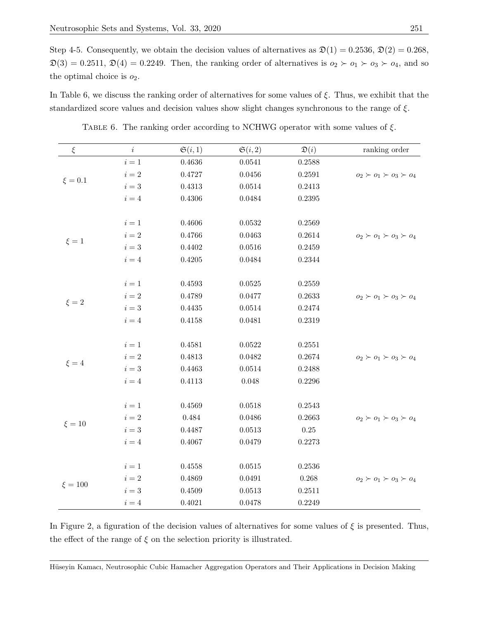Step 4-5. Consequently, we obtain the decision values of alternatives as  $\mathfrak{D}(1) = 0.2536, \mathfrak{D}(2) = 0.268$ ,  $\mathfrak{D}(3) = 0.2511, \mathfrak{D}(4) = 0.2249.$  Then, the ranking order of alternatives is  $o_2 \succ o_1 \succ o_3 \succ o_4$ , and so the optimal choice is  $o_2$ .

In Table 6, we discuss the ranking order of alternatives for some values of  $\xi$ . Thus, we exhibit that the standardized score values and decision values show slight changes synchronous to the range of  $\xi$ .

| $\xi$       | $\it i$ | $\mathfrak{S}(i,1)$ | $\mathfrak{S}(i,2)$ | $\mathfrak{D}(i)$ | ranking order                       |
|-------------|---------|---------------------|---------------------|-------------------|-------------------------------------|
|             | $i=1\,$ | 0.4636              | 0.0541              | 0.2588            |                                     |
|             | $i=2\,$ | 0.4727              | 0.0456              | 0.2591            | $o_2 \succ o_1 \succ o_3 \succ o_4$ |
| $\xi=0.1$   | $i=3\,$ | $\rm 0.4313$        | 0.0514              | 0.2413            |                                     |
|             | $i=4$   | $0.4306\,$          | 0.0484              | 0.2395            |                                     |
|             |         |                     |                     |                   |                                     |
|             | $i=1\,$ | 0.4606              | 0.0532              | 0.2569            |                                     |
|             | $i=2\,$ | 0.4766              | 0.0463              | 0.2614            | $o_2 \succ o_1 \succ o_3 \succ o_4$ |
| $\xi = 1$   | $i=3\,$ | 0.4402              | 0.0516              | 0.2459            |                                     |
|             | $i=4\,$ | 0.4205              | 0.0484              | 0.2344            |                                     |
|             |         |                     |                     |                   |                                     |
|             | $i=1\,$ | 0.4593              | 0.0525              | 0.2559            |                                     |
|             | $i=2\,$ | 0.4789              | 0.0477              | 0.2633            | $o_2 \succ o_1 \succ o_3 \succ o_4$ |
| $\xi=2$     | $i=3\,$ | 0.4435              | 0.0514              | 0.2474            |                                     |
|             | $i=4\,$ | 0.4158              | 0.0481              | 0.2319            |                                     |
|             |         |                     |                     |                   |                                     |
|             | $i=1\,$ | 0.4581              | 0.0522              | 0.2551            |                                     |
|             | $i=2\,$ | 0.4813              | 0.0482              | 0.2674            | $o_2 \succ o_1 \succ o_3 \succ o_4$ |
| $\xi = 4$   | $i=3\,$ | 0.4463              | 0.0514              | 0.2488            |                                     |
|             | $i=4\,$ | 0.4113              | 0.048               | 0.2296            |                                     |
|             |         |                     |                     |                   |                                     |
|             | $i=1$   | 0.4569              | 0.0518              | 0.2543            |                                     |
| $\xi = 10$  | $i=2\,$ | $0.484\,$           | 0.0486              | 0.2663            | $o_2 \succ o_1 \succ o_3 \succ o_4$ |
|             | $i=3\,$ | 0.4487              | 0.0513              | $0.25\,$          |                                     |
|             | $i=4\,$ | 0.4067              | 0.0479              | 0.2273            |                                     |
|             |         |                     |                     |                   |                                     |
|             | $i=1\,$ | $0.4558\,$          | 0.0515              | 0.2536            |                                     |
| $\xi = 100$ | $i=2\,$ | 0.4869              | 0.0491              | 0.268             | $o_2 \succ o_1 \succ o_3 \succ o_4$ |
|             | $i=3\,$ | 0.4509              | 0.0513              | 0.2511            |                                     |
|             | $i=4\,$ | 0.4021              | 0.0478              | 0.2249            |                                     |

TABLE 6. The ranking order according to NCHWG operator with some values of  $\xi$ .

In Figure 2, a figuration of the decision values of alternatives for some values of  $\xi$  is presented. Thus, the effect of the range of  $\xi$  on the selection priority is illustrated.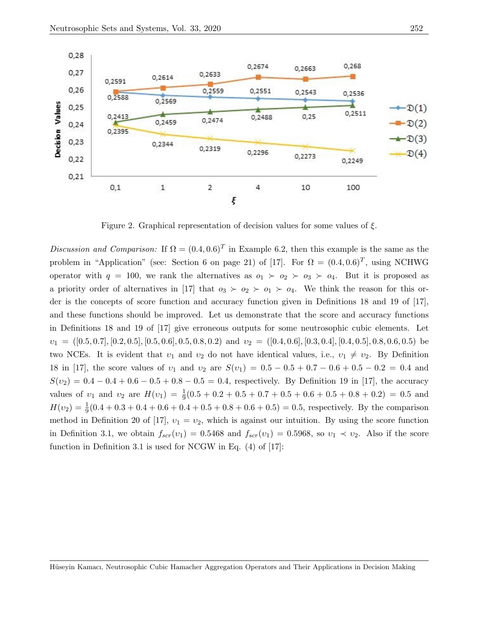

Figure 2. Graphical representation of decision values for some values of ξ.

Discussion and Comparison: If  $\Omega = (0.4, 0.6)^T$  in Example 6.2, then this example is the same as the problem in "Application" (see: Section 6 on page 21) of [17]. For  $\Omega = (0.4, 0.6)^T$ , using NCHWG operator with  $q = 100$ , we rank the alternatives as  $o_1 \succ o_2 \succ o_3 \succ o_4$ . But it is proposed as a priority order of alternatives in [17] that  $o_3 \succ o_2 \succ o_1 \succ o_4$ . We think the reason for this order is the concepts of score function and accuracy function given in Definitions 18 and 19 of [17], and these functions should be improved. Let us demonstrate that the score and accuracy functions in Definitions 18 and 19 of [17] give erroneous outputs for some neutrosophic cubic elements. Let  $v_1 = ([0.5, 0.7], [0.2, 0.5], [0.5, 0.6], 0.5, 0.8, 0.2)$  and  $v_2 = ([0.4, 0.6], [0.3, 0.4], [0.4, 0.5], 0.8, 0.6, 0.5)$  be two NCEs. It is evident that  $v_1$  and  $v_2$  do not have identical values, i.e.,  $v_1 \neq v_2$ . By Definition 18 in [17], the score values of  $v_1$  and  $v_2$  are  $S(v_1) = 0.5 - 0.5 + 0.7 - 0.6 + 0.5 - 0.2 = 0.4$  and  $S(v_2) = 0.4 - 0.4 + 0.6 - 0.5 + 0.8 - 0.5 = 0.4$ , respectively. By Definition 19 in [17], the accuracy values of  $v_1$  and  $v_2$  are  $H(v_1) = \frac{1}{9}(0.5 + 0.2 + 0.5 + 0.7 + 0.5 + 0.6 + 0.5 + 0.8 + 0.2) = 0.5$  and  $H(v_2) = \frac{1}{9}(0.4 + 0.3 + 0.4 + 0.6 + 0.4 + 0.5 + 0.8 + 0.6 + 0.5) = 0.5$ , respectively. By the comparison method in Definition 20 of [17],  $v_1 = v_2$ , which is against our intuition. By using the score function in Definition 3.1, we obtain  $f_{scr}(v_1) = 0.5468$  and  $f_{scr}(v_1) = 0.5968$ , so  $v_1 \prec v_2$ . Also if the score function in Definition 3.1 is used for NCGW in Eq. (4) of [17]: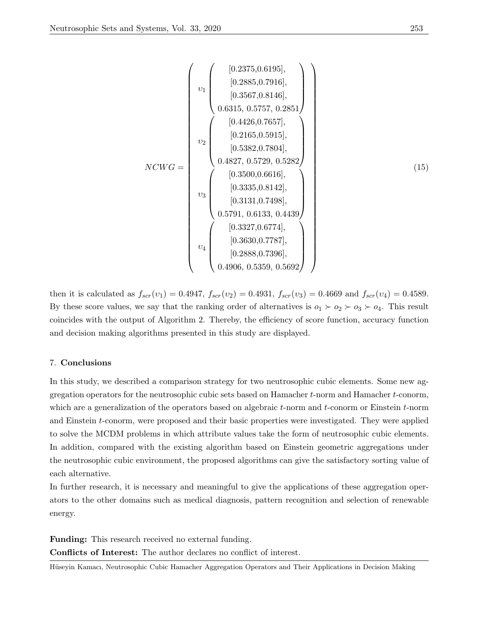$$
NCWG = \begin{pmatrix} \begin{pmatrix} 0.2375, 0.6195 \\ 0.2885, 0.7916 \\ 0.3567, 0.8146 \\ 0.6315, 0.5757, 0.2851 \end{pmatrix} \\ v_2 \\ v_2 \\ v_1 \\ v_2 \\ v_3 \\ v_4 \\ v_5 \\ v_6 \\ v_7 \\ v_8 \end{pmatrix} \cdot \begin{pmatrix} 0.4426, 0.7657 \\ 0.2165, 0.5915] \\ 0.2165, 0.5915] \\ 0.5382, 0.7804] \\ 0.4827, 0.5729, 0.5282 \end{pmatrix} \\ v_1 \\ v_2 \\ v_3 \\ v_4 \\ v_5 \\ v_6 \\ v_7 \\ v_8 \\ v_9 \\ v_1 \\ v_2 \\ v_3 \\ v_4 \\ v_5 \\ v_6 \\ v_7 \\ v_8 \\ v_9 \\ v_1 \\ v_2 \\ v_3 \\ v_4 \\ v_5 \\ v_6 \\ v_7 \\ v_8 \\ v_9 \\ v_1 \\ v_2 \\ v_3 \\ v_1 \\ v_2 \\ v_3 \\ v_4 \\ v_5 \\ v_6 \\ v_7 \\ v_8 \\ v_9 \\ v_1 \\ v_2 \\ v_3 \\ v_4 \\ v_5 \\ v_7 \\ v_8 \\ v_9 \\ v_1 \\ v_2 \\ v_3 \\ v_4 \\ v_5 \\ v_7 \\ v_8 \\ v_9 \\ v_1 \\ v_2 \\ v_3 \\ v_4 \\ v_5 \\ v_7 \\ v_8 \\ v_9 \\ v_1 \\ v_2 \\ v_3 \\ v_1 \\ v_2 \\ v_3 \\ v_4 \\ v_5 \\ v_7 \\ v_9 \\ v_1 \\ v_2 \\ v_3 \\ v_4 \\ v_5 \\ v_6 \\ v_7 \\ v_9 \\ v_1 \\ v_2 \\ v_3 \\ v_4 \\ v_5 \\ v_7 \\ v_9 \\ v_1 \\ v_2 \\ v_3 \\ v_4 \\ v_5 \\ v_6 \\ v_7 \\ v_9 \\ v_1 \\ v_2 \\ v_3 \\ v_4 \\ v_5 \\ v_6 \\ v_7 \\ v_9 \\ v_1 \\ v_2 \\ v_3 \\ v_4 \\ v_5 \\ v_6 \\ v_7 \\ v_9 \\ v_1 \\ v_2 \\ v_3 \\ v_4 \\ v_5 \\ v_6 \\ v_7 \\ v_9 \\ v_1 \\ v_2 \\ v_3 \\ v_4 \\ v_5 \\ v_6 \\ v_7 \\ v_9 \\ v_1 \\
$$

then it is calculated as  $f_{scr}(v_1) = 0.4947$ ,  $f_{scr}(v_2) = 0.4931$ ,  $f_{scr}(v_3) = 0.4669$  and  $f_{scr}(v_4) = 0.4589$ . By these score values, we say that the ranking order of alternatives is  $o_1 \succ o_2 \succ o_3 \succ o_4$ . This result coincides with the output of Algorithm 2. Thereby, the efficiency of score function, accuracy function and decision making algorithms presented in this study are displayed.

### 7. Conclusions

In this study, we described a comparison strategy for two neutrosophic cubic elements. Some new aggregation operators for the neutrosophic cubic sets based on Hamacher  $t$ -norm and Hamacher  $t$ -conorm, which are a generalization of the operators based on algebraic t-norm and t-conorm or Einstein t-norm and Einstein t-conorm, were proposed and their basic properties were investigated. They were applied to solve the MCDM problems in which attribute values take the form of neutrosophic cubic elements. In addition, compared with the existing algorithm based on Einstein geometric aggregations under the neutrosophic cubic environment, the proposed algorithms can give the satisfactory sorting value of each alternative.

In further research, it is necessary and meaningful to give the applications of these aggregation operators to the other domains such as medical diagnosis, pattern recognition and selection of renewable energy.

Funding: This research received no external funding.

Conflicts of Interest: The author declares no conflict of interest.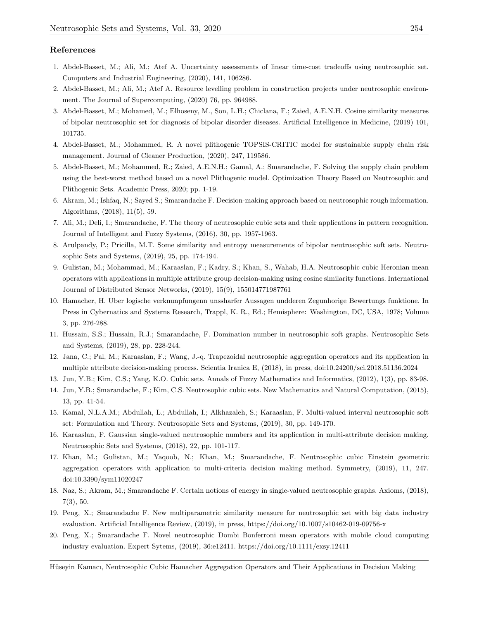# References

- 1. Abdel-Basset, M.; Ali, M.; Atef A. Uncertainty assessments of linear time-cost tradeoffs using neutrosophic set. Computers and Industrial Engineering, (2020), 141, 106286.
- 2. Abdel-Basset, M.; Ali, M.; Atef A. Resource levelling problem in construction projects under neutrosophic environment. The Journal of Supercomputing, (2020) 76, pp. 964988.
- 3. Abdel-Basset, M.; Mohamed, M.; Elhoseny, M., Son, L.H.; Chiclana, F.; Zaied, A.E.N.H. Cosine similarity measures of bipolar neutrosophic set for diagnosis of bipolar disorder diseases. Artificial Intelligence in Medicine, (2019) 101, 101735.
- 4. Abdel-Basset, M.; Mohammed, R. A novel plithogenic TOPSIS-CRITIC model for sustainable supply chain risk management. Journal of Cleaner Production, (2020), 247, 119586.
- 5. Abdel-Basset, M.; Mohammed, R.; Zaied, A.E.N.H.; Gamal, A.; Smarandache, F. Solving the supply chain problem using the best-worst method based on a novel Plithogenic model. Optimization Theory Based on Neutrosophic and Plithogenic Sets. Academic Press, 2020; pp. 1-19.
- 6. Akram, M.; Ishfaq, N.; Sayed S.; Smarandache F. Decision-making approach based on neutrosophic rough information. Algorithms, (2018), 11(5), 59.
- 7. Ali, M.; Deli, I.; Smarandache, F. The theory of neutrosophic cubic sets and their applications in pattern recognition. Journal of Intelligent and Fuzzy Systems, (2016), 30, pp. 1957-1963.
- 8. Arulpandy, P.; Pricilla, M.T. Some similarity and entropy measurements of bipolar neutrosophic soft sets. Neutrosophic Sets and Systems, (2019), 25, pp. 174-194.
- 9. Gulistan, M.; Mohammad, M.; Karaaslan, F.; Kadry, S.; Khan, S., Wahab, H.A. Neutrosophic cubic Heronian mean operators with applications in multiple attribute group decision-making using cosine similarity functions. International Journal of Distributed Sensor Networks, (2019), 15(9), 155014771987761
- 10. Hamacher, H. Uber logische verknunpfungenn unssharfer Aussagen undderen Zegunhorige Bewertungs funktione. In Press in Cybernatics and Systems Research, Trappl, K. R., Ed.; Hemisphere: Washington, DC, USA, 1978; Volume 3, pp. 276-288.
- 11. Hussain, S.S.; Hussain, R.J.; Smarandache, F. Domination number in neutrosophic soft graphs. Neutrosophic Sets and Systems, (2019), 28, pp. 228-244.
- 12. Jana, C.; Pal, M.; Karaaslan, F.; Wang, J.-q. Trapezoidal neutrosophic aggregation operators and its application in multiple attribute decision-making process. Scientia Iranica E, (2018), in press, doi:10.24200/sci.2018.51136.2024
- 13. Jun, Y.B.; Kim, C.S.; Yang, K.O. Cubic sets. Annals of Fuzzy Mathematics and Informatics, (2012), 1(3), pp. 83-98.
- 14. Jun, Y.B.; Smarandache, F.; Kim, C.S. Neutrosophic cubic sets. New Mathematics and Natural Computation, (2015), 13, pp. 41-54.
- 15. Kamal, N.L.A.M.; Abdullah, L.; Abdullah, I.; Alkhazaleh, S.; Karaaslan, F. Multi-valued interval neutrosophic soft set: Formulation and Theory. Neutrosophic Sets and Systems, (2019), 30, pp. 149-170.
- 16. Karaaslan, F. Gaussian single-valued neutrosophic numbers and its application in multi-attribute decision making. Neutrosophic Sets and Systems, (2018), 22, pp. 101-117.
- 17. Khan, M.; Gulistan, M.; Yaqoob, N.; Khan, M.; Smarandache, F. Neutrosophic cubic Einstein geometric aggregation operators with application to multi-criteria decision making method. Symmetry, (2019), 11, 247. doi:10.3390/sym11020247
- 18. Naz, S.; Akram, M.; Smarandache F. Certain notions of energy in single-valued neutrosophic graphs. Axioms, (2018), 7(3), 50.
- 19. Peng, X.; Smarandache F. New multiparametric similarity measure for neutrosophic set with big data industry evaluation. Artificial Intelligence Review, (2019), in press, https://doi.org/10.1007/s10462-019-09756-x
- 20. Peng, X.; Smarandache F. Novel neutrosophic Dombi Bonferroni mean operators with mobile cloud computing industry evaluation. Expert Sytems, (2019), 36:e12411. https://doi.org/10.1111/exsy.12411
- Hüseyin Kamacı, Neutrosophic Cubic Hamacher Aggregation Operators and Their Applications in Decision Making